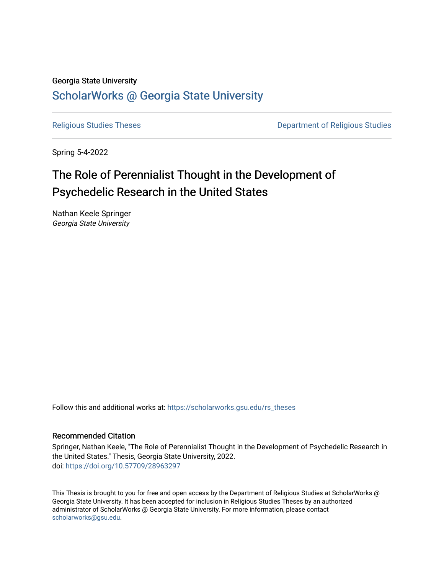### Georgia State University [ScholarWorks @ Georgia State University](https://scholarworks.gsu.edu/)

[Religious Studies Theses](https://scholarworks.gsu.edu/rs_theses) **Network** Department of Religious Studies

Spring 5-4-2022

# The Role of Perennialist Thought in the Development of Psychedelic Research in the United States

Nathan Keele Springer Georgia State University

Follow this and additional works at: [https://scholarworks.gsu.edu/rs\\_theses](https://scholarworks.gsu.edu/rs_theses?utm_source=scholarworks.gsu.edu%2Frs_theses%2F65&utm_medium=PDF&utm_campaign=PDFCoverPages) 

#### Recommended Citation

Springer, Nathan Keele, "The Role of Perennialist Thought in the Development of Psychedelic Research in the United States." Thesis, Georgia State University, 2022. doi: <https://doi.org/10.57709/28963297>

This Thesis is brought to you for free and open access by the Department of Religious Studies at ScholarWorks @ Georgia State University. It has been accepted for inclusion in Religious Studies Theses by an authorized administrator of ScholarWorks @ Georgia State University. For more information, please contact [scholarworks@gsu.edu.](mailto:scholarworks@gsu.edu)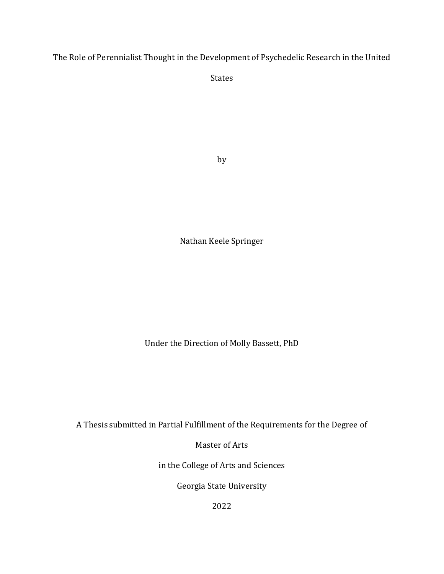The Role of Perennialist Thought in the Development of Psychedelic Research in the United

States

by

Nathan Keele Springer

Under the Direction of Molly Bassett, PhD

A Thesis submitted in Partial Fulfillment of the Requirements for the Degree of

Master of Arts

in the College of Arts and Sciences

Georgia State University

2022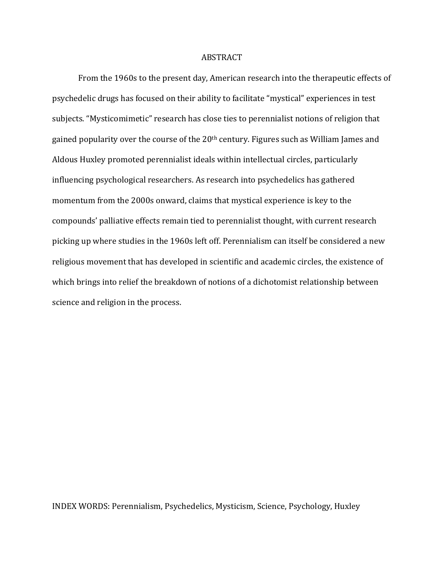#### ABSTRACT

From the 1960s to the present day, American research into the therapeutic effects of psychedelic drugs has focused on their ability to facilitate "mystical" experiences in test subjects. "Mysticomimetic" research has close ties to perennialist notions of religion that gained popularity over the course of the 20th century. Figures such as William James and Aldous Huxley promoted perennialist ideals within intellectual circles, particularly influencing psychological researchers. As research into psychedelics has gathered momentum from the 2000s onward, claims that mystical experience is key to the compounds' palliative effects remain tied to perennialist thought, with current research picking up where studies in the 1960s left off. Perennialism can itself be considered a new religious movement that has developed in scientific and academic circles, the existence of which brings into relief the breakdown of notions of a dichotomist relationship between science and religion in the process.

INDEX WORDS: Perennialism, Psychedelics, Mysticism, Science, Psychology, Huxley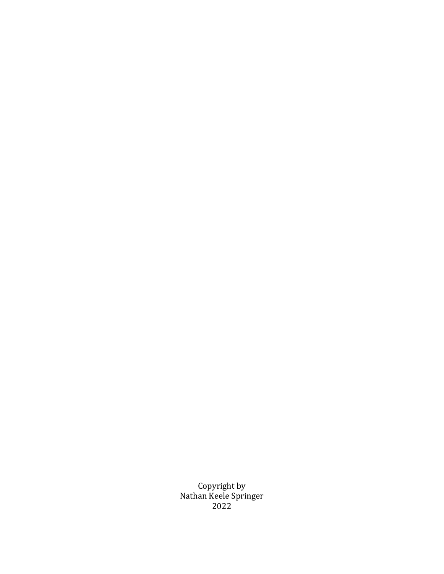Copyright by Nathan Keele Springer 2022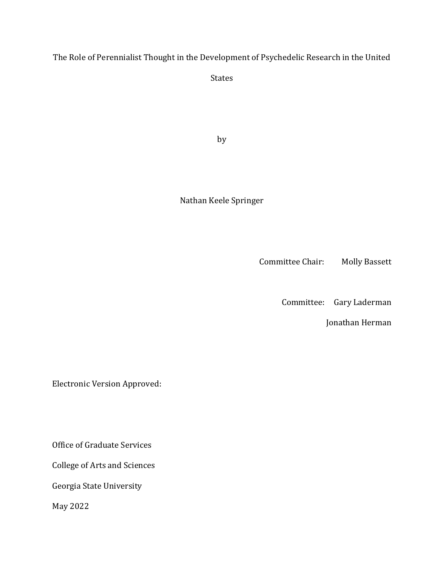The Role of Perennialist Thought in the Development of Psychedelic Research in the United

States

by

Nathan Keele Springer

Committee Chair: Molly Bassett

Committee: Gary Laderman

Jonathan Herman

Electronic Version Approved:

Office of Graduate Services

College of Arts and Sciences

Georgia State University

May 2022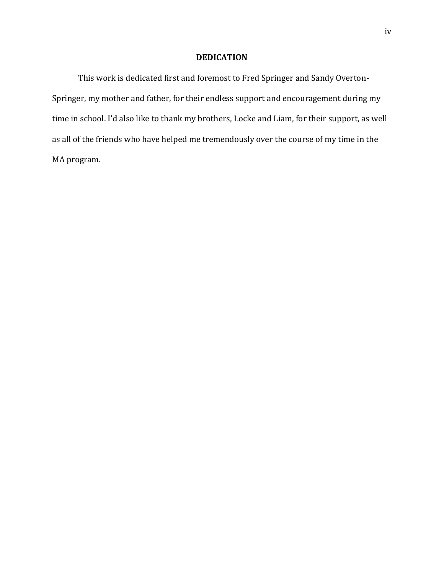#### **DEDICATION**

This work is dedicated first and foremost to Fred Springer and Sandy Overton-Springer, my mother and father, for their endless support and encouragement during my time in school. I'd also like to thank my brothers, Locke and Liam, for their support, as well as all of the friends who have helped me tremendously over the course of my time in the MA program.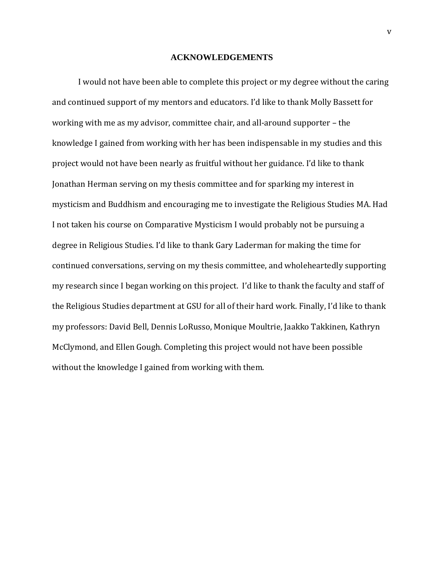#### **ACKNOWLEDGEMENTS**

<span id="page-6-0"></span>I would not have been able to complete this project or my degree without the caring and continued support of my mentors and educators. I'd like to thank Molly Bassett for working with me as my advisor, committee chair, and all-around supporter – the knowledge I gained from working with her has been indispensable in my studies and this project would not have been nearly as fruitful without her guidance. I'd like to thank Jonathan Herman serving on my thesis committee and for sparking my interest in mysticism and Buddhism and encouraging me to investigate the Religious Studies MA. Had I not taken his course on Comparative Mysticism I would probably not be pursuing a degree in Religious Studies. I'd like to thank Gary Laderman for making the time for continued conversations, serving on my thesis committee, and wholeheartedly supporting my research since I began working on this project. I'd like to thank the faculty and staff of the Religious Studies department at GSU for all of their hard work. Finally, I'd like to thank my professors: David Bell, Dennis LoRusso, Monique Moultrie, Jaakko Takkinen, Kathryn McClymond, and Ellen Gough. Completing this project would not have been possible without the knowledge I gained from working with them.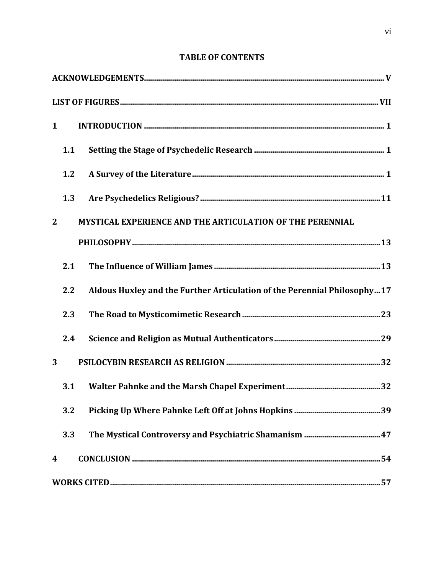### **TABLE OF CONTENTS**

| $\mathbf{1}$ |     |                                                                          |
|--------------|-----|--------------------------------------------------------------------------|
|              | 1.1 |                                                                          |
|              | 1.2 |                                                                          |
|              | 1.3 |                                                                          |
| $\mathbf{2}$ |     | MYSTICAL EXPERIENCE AND THE ARTICULATION OF THE PERENNIAL                |
|              |     |                                                                          |
|              | 2.1 |                                                                          |
|              | 2.2 | Aldous Huxley and the Further Articulation of the Perennial Philosophy17 |
|              | 2.3 |                                                                          |
|              | 2.4 |                                                                          |
| 3            |     |                                                                          |
|              | 3.1 |                                                                          |
|              | 3.2 |                                                                          |
|              | 3.3 |                                                                          |
| 4            |     |                                                                          |
|              |     |                                                                          |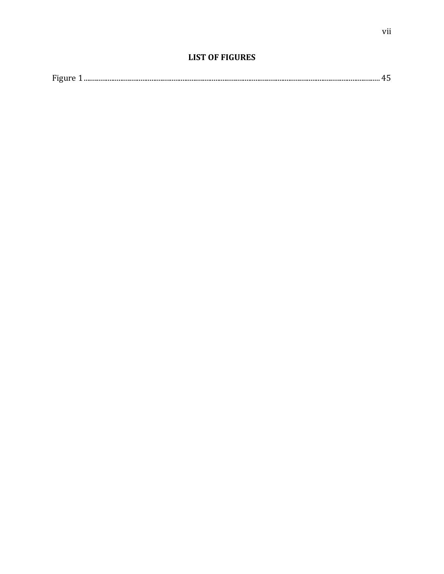<span id="page-8-0"></span>

| $\mathbf{r}$<br>. The construction of the construction of the construction of the construction of the construction of the construction of $\mathcal{U}$ |
|---------------------------------------------------------------------------------------------------------------------------------------------------------|
|---------------------------------------------------------------------------------------------------------------------------------------------------------|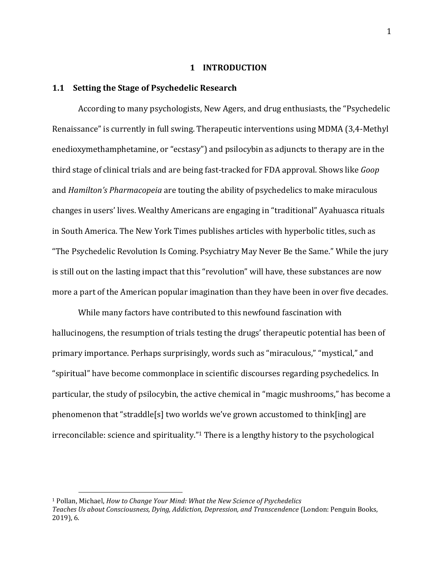#### **1 INTRODUCTION**

#### <span id="page-9-1"></span><span id="page-9-0"></span>**1.1 Setting the Stage of Psychedelic Research**

<span id="page-9-2"></span>According to many psychologists, New Agers, and drug enthusiasts, the "Psychedelic Renaissance" is currently in full swing. Therapeutic interventions using MDMA (3,4-Methyl enedioxymethamphetamine, or "ecstasy") and psilocybin as adjuncts to therapy are in the third stage of clinical trials and are being fast-tracked for FDA approval. Shows like *Goop*  and *Hamilton's Pharmacopeia* are touting the ability of psychedelics to make miraculous changes in users' lives. Wealthy Americans are engaging in "traditional" Ayahuasca rituals in South America. The New York Times publishes articles with hyperbolic titles, such as "The Psychedelic Revolution Is Coming. Psychiatry May Never Be the Same." While the jury is still out on the lasting impact that this "revolution" will have, these substances are now more a part of the American popular imagination than they have been in over five decades.

While many factors have contributed to this newfound fascination with hallucinogens, the resumption of trials testing the drugs' therapeutic potential has been of primary importance. Perhaps surprisingly, words such as "miraculous," "mystical," and "spiritual" have become commonplace in scientific discourses regarding psychedelics. In particular, the study of psilocybin, the active chemical in "magic mushrooms," has become a phenomenon that "straddle[s] two worlds we've grown accustomed to think[ing] are irreconcilable: science and spirituality."<sup>1</sup> There is a lengthy history to the psychological

<sup>1</sup> Pollan, Michael, *How to Change Your Mind: What the New Science of Psychedelics Teaches Us about Consciousness, Dying, Addiction, Depression, and Transcendence* (London: Penguin Books, 2019), 6.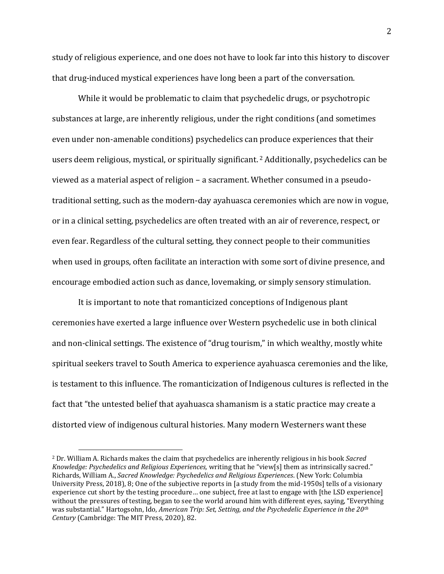study of religious experience, and one does not have to look far into this history to discover that drug-induced mystical experiences have long been a part of the conversation.

While it would be problematic to claim that psychedelic drugs, or psychotropic substances at large, are inherently religious, under the right conditions (and sometimes even under non-amenable conditions) psychedelics can produce experiences that their users deem religious, mystical, or spiritually significant. <sup>2</sup> Additionally, psychedelics can be viewed as a material aspect of religion – a sacrament. Whether consumed in a pseudotraditional setting, such as the modern-day ayahuasca ceremonies which are now in vogue, or in a clinical setting, psychedelics are often treated with an air of reverence, respect, or even fear. Regardless of the cultural setting, they connect people to their communities when used in groups, often facilitate an interaction with some sort of divine presence, and encourage embodied action such as dance, lovemaking, or simply sensory stimulation.

It is important to note that romanticized conceptions of Indigenous plant ceremonies have exerted a large influence over Western psychedelic use in both clinical and non-clinical settings. The existence of "drug tourism," in which wealthy, mostly white spiritual seekers travel to South America to experience ayahuasca ceremonies and the like, is testament to this influence. The romanticization of Indigenous cultures is reflected in the fact that "the untested belief that ayahuasca shamanism is a static practice may create a distorted view of indigenous cultural histories. Many modern Westerners want these

<sup>2</sup> Dr. William A. Richards makes the claim that psychedelics are inherently religious in his book *Sacred Knowledge: Psychedelics and Religious Experiences,* writing that he "view[s] them as intrinsically sacred." Richards, William A., *Sacred Knowledge: Psychedelics and Religious Experiences*. (New York: Columbia University Press, 2018), 8; One of the subjective reports in [a study from the mid-1950s] tells of a visionary experience cut short by the testing procedure… one subject, free at last to engage with [the LSD experience] without the pressures of testing, began to see the world around him with different eyes, saying, "Everything was substantial." Hartogsohn, Ido, *American Trip: Set, Setting, and the Psychedelic Experience in the 20th Century* (Cambridge: The MIT Press, 2020), 82.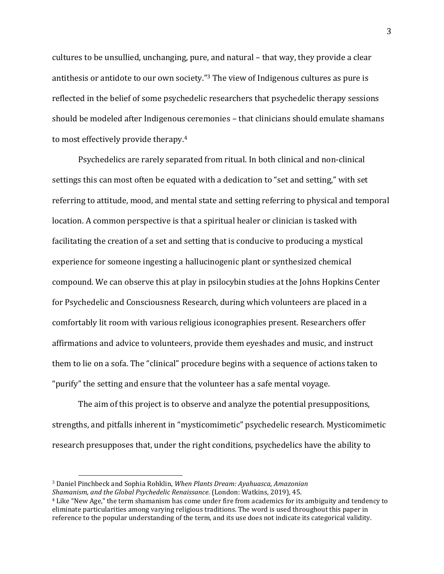cultures to be unsullied, unchanging, pure, and natural – that way, they provide a clear antithesis or antidote to our own society."<sup>3</sup> The view of Indigenous cultures as pure is reflected in the belief of some psychedelic researchers that psychedelic therapy sessions should be modeled after Indigenous ceremonies – that clinicians should emulate shamans to most effectively provide therapy.<sup>4</sup>

Psychedelics are rarely separated from ritual. In both clinical and non-clinical settings this can most often be equated with a dedication to "set and setting," with set referring to attitude, mood, and mental state and setting referring to physical and temporal location. A common perspective is that a spiritual healer or clinician is tasked with facilitating the creation of a set and setting that is conducive to producing a mystical experience for someone ingesting a hallucinogenic plant or synthesized chemical compound. We can observe this at play in psilocybin studies at the Johns Hopkins Center for Psychedelic and Consciousness Research, during which volunteers are placed in a comfortably lit room with various religious iconographies present. Researchers offer affirmations and advice to volunteers, provide them eyeshades and music, and instruct them to lie on a sofa. The "clinical" procedure begins with a sequence of actions taken to "purify" the setting and ensure that the volunteer has a safe mental voyage.

The aim of this project is to observe and analyze the potential presuppositions, strengths, and pitfalls inherent in "mysticomimetic" psychedelic research. Mysticomimetic research presupposes that, under the right conditions, psychedelics have the ability to

<sup>3</sup> Daniel Pinchbeck and Sophia Rohklin, *When Plants Dream: Ayahuasca, Amazonian Shamanism, and the Global Psychedelic Renaissance.* (London: Watkins, 2019), 45.

<sup>4</sup> Like "New Age," the term shamanism has come under fire from academics for its ambiguity and tendency to eliminate particularities among varying religious traditions. The word is used throughout this paper in reference to the popular understanding of the term, and its use does not indicate its categorical validity.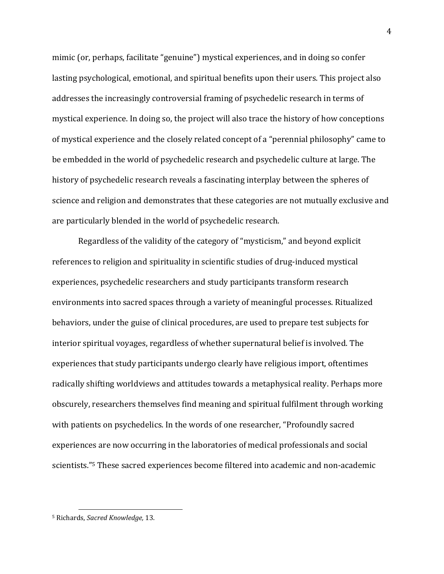mimic (or, perhaps, facilitate "genuine") mystical experiences, and in doing so confer lasting psychological, emotional, and spiritual benefits upon their users. This project also addresses the increasingly controversial framing of psychedelic research in terms of mystical experience. In doing so, the project will also trace the history of how conceptions of mystical experience and the closely related concept of a "perennial philosophy" came to be embedded in the world of psychedelic research and psychedelic culture at large. The history of psychedelic research reveals a fascinating interplay between the spheres of science and religion and demonstrates that these categories are not mutually exclusive and are particularly blended in the world of psychedelic research.

Regardless of the validity of the category of "mysticism," and beyond explicit references to religion and spirituality in scientific studies of drug-induced mystical experiences, psychedelic researchers and study participants transform research environments into sacred spaces through a variety of meaningful processes. Ritualized behaviors, under the guise of clinical procedures, are used to prepare test subjects for interior spiritual voyages, regardless of whether supernatural belief is involved. The experiences that study participants undergo clearly have religious import, oftentimes radically shifting worldviews and attitudes towards a metaphysical reality. Perhaps more obscurely, researchers themselves find meaning and spiritual fulfilment through working with patients on psychedelics. In the words of one researcher, "Profoundly sacred experiences are now occurring in the laboratories of medical professionals and social scientists."<sup>5</sup> These sacred experiences become filtered into academic and non-academic

<sup>5</sup> Richards, *Sacred Knowledge,* 13.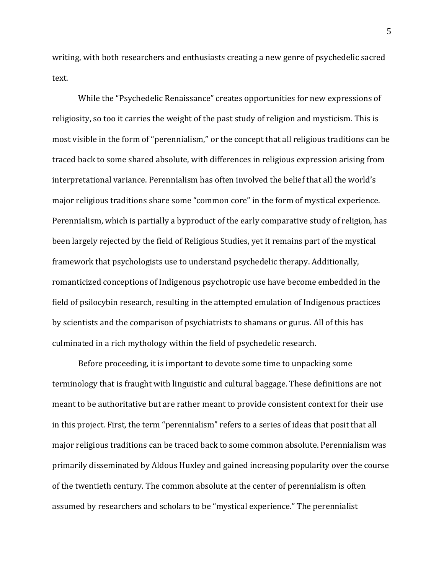writing, with both researchers and enthusiasts creating a new genre of psychedelic sacred text.

While the "Psychedelic Renaissance" creates opportunities for new expressions of religiosity, so too it carries the weight of the past study of religion and mysticism. This is most visible in the form of "perennialism," or the concept that all religious traditions can be traced back to some shared absolute, with differences in religious expression arising from interpretational variance. Perennialism has often involved the belief that all the world's major religious traditions share some "common core" in the form of mystical experience. Perennialism, which is partially a byproduct of the early comparative study of religion, has been largely rejected by the field of Religious Studies, yet it remains part of the mystical framework that psychologists use to understand psychedelic therapy. Additionally, romanticized conceptions of Indigenous psychotropic use have become embedded in the field of psilocybin research, resulting in the attempted emulation of Indigenous practices by scientists and the comparison of psychiatrists to shamans or gurus. All of this has culminated in a rich mythology within the field of psychedelic research.

Before proceeding, it is important to devote some time to unpacking some terminology that is fraught with linguistic and cultural baggage. These definitions are not meant to be authoritative but are rather meant to provide consistent context for their use in this project. First, the term "perennialism" refers to a series of ideas that posit that all major religious traditions can be traced back to some common absolute. Perennialism was primarily disseminated by Aldous Huxley and gained increasing popularity over the course of the twentieth century. The common absolute at the center of perennialism is often assumed by researchers and scholars to be "mystical experience." The perennialist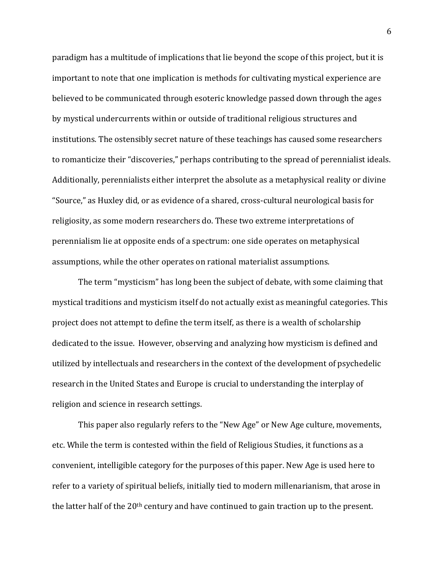paradigm has a multitude of implications that lie beyond the scope of this project, but it is important to note that one implication is methods for cultivating mystical experience are believed to be communicated through esoteric knowledge passed down through the ages by mystical undercurrents within or outside of traditional religious structures and institutions. The ostensibly secret nature of these teachings has caused some researchers to romanticize their "discoveries," perhaps contributing to the spread of perennialist ideals. Additionally, perennialists either interpret the absolute as a metaphysical reality or divine "Source," as Huxley did, or as evidence of a shared, cross-cultural neurological basis for religiosity, as some modern researchers do. These two extreme interpretations of perennialism lie at opposite ends of a spectrum: one side operates on metaphysical assumptions, while the other operates on rational materialist assumptions.

The term "mysticism" has long been the subject of debate, with some claiming that mystical traditions and mysticism itself do not actually exist as meaningful categories. This project does not attempt to define the term itself, as there is a wealth of scholarship dedicated to the issue. However, observing and analyzing how mysticism is defined and utilized by intellectuals and researchers in the context of the development of psychedelic research in the United States and Europe is crucial to understanding the interplay of religion and science in research settings.

This paper also regularly refers to the "New Age" or New Age culture, movements, etc. While the term is contested within the field of Religious Studies, it functions as a convenient, intelligible category for the purposes of this paper. New Age is used here to refer to a variety of spiritual beliefs, initially tied to modern millenarianism, that arose in the latter half of the 20th century and have continued to gain traction up to the present.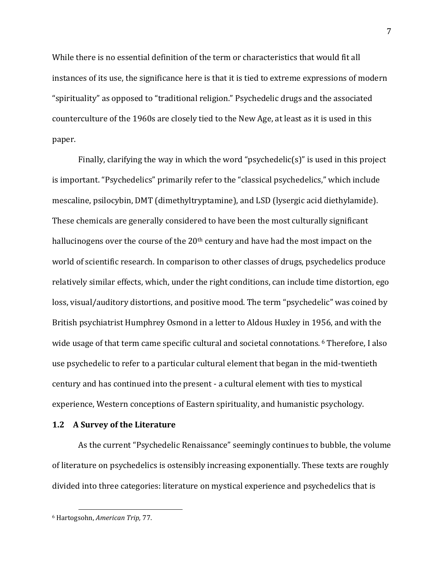While there is no essential definition of the term or characteristics that would fit all instances of its use, the significance here is that it is tied to extreme expressions of modern "spirituality" as opposed to "traditional religion." Psychedelic drugs and the associated counterculture of the 1960s are closely tied to the New Age, at least as it is used in this paper.

Finally, clarifying the way in which the word "psychedelic(s)" is used in this project is important. "Psychedelics" primarily refer to the "classical psychedelics," which include mescaline, psilocybin, DMT (dimethyltryptamine), and LSD (lysergic acid diethylamide). These chemicals are generally considered to have been the most culturally significant hallucinogens over the course of the 20<sup>th</sup> century and have had the most impact on the world of scientific research. In comparison to other classes of drugs, psychedelics produce relatively similar effects, which, under the right conditions, can include time distortion, ego loss, visual/auditory distortions, and positive mood. The term "psychedelic" was coined by British psychiatrist Humphrey Osmond in a letter to Aldous Huxley in 1956, and with the wide usage of that term came specific cultural and societal connotations.<sup>6</sup> Therefore, I also use psychedelic to refer to a particular cultural element that began in the mid-twentieth century and has continued into the present - a cultural element with ties to mystical experience, Western conceptions of Eastern spirituality, and humanistic psychology.

#### **1.2 A Survey of the Literature**

As the current "Psychedelic Renaissance" seemingly continues to bubble, the volume of literature on psychedelics is ostensibly increasing exponentially. These texts are roughly divided into three categories: literature on mystical experience and psychedelics that is

<sup>6</sup> Hartogsohn, *American Trip,* 77.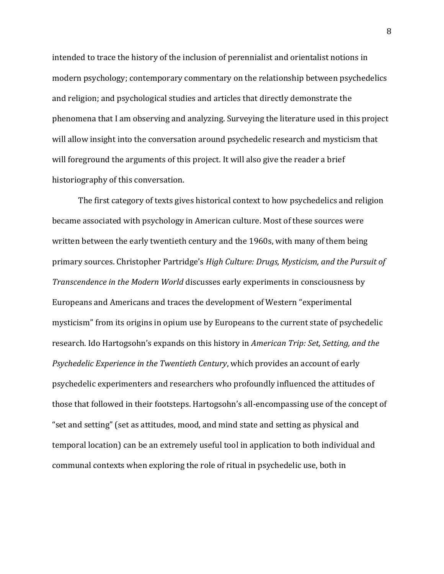intended to trace the history of the inclusion of perennialist and orientalist notions in modern psychology; contemporary commentary on the relationship between psychedelics and religion; and psychological studies and articles that directly demonstrate the phenomena that I am observing and analyzing. Surveying the literature used in this project will allow insight into the conversation around psychedelic research and mysticism that will foreground the arguments of this project. It will also give the reader a brief historiography of this conversation.

The first category of texts gives historical context to how psychedelics and religion became associated with psychology in American culture. Most of these sources were written between the early twentieth century and the 1960s, with many of them being primary sources. Christopher Partridge's *High Culture: Drugs, Mysticism, and the Pursuit of Transcendence in the Modern World* discusses early experiments in consciousness by Europeans and Americans and traces the development of Western "experimental mysticism" from its origins in opium use by Europeans to the current state of psychedelic research. Ido Hartogsohn's expands on this history in *American Trip: Set, Setting, and the Psychedelic Experience in the Twentieth Century*, which provides an account of early psychedelic experimenters and researchers who profoundly influenced the attitudes of those that followed in their footsteps. Hartogsohn's all-encompassing use of the concept of "set and setting" (set as attitudes, mood, and mind state and setting as physical and temporal location) can be an extremely useful tool in application to both individual and communal contexts when exploring the role of ritual in psychedelic use, both in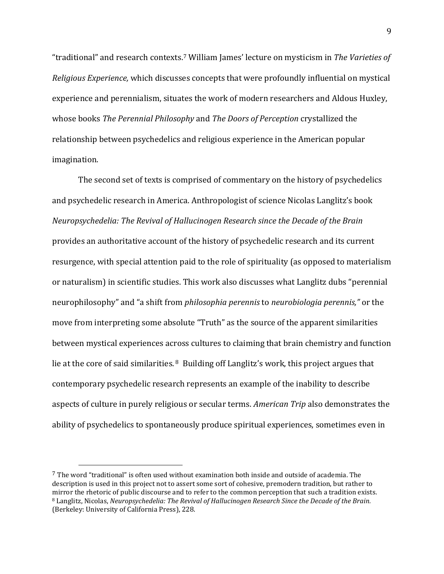"traditional" and research contexts.<sup>7</sup> William James' lecture on mysticism in *The Varieties of Religious Experience,* which discusses concepts that were profoundly influential on mystical experience and perennialism, situates the work of modern researchers and Aldous Huxley, whose books *The Perennial Philosophy* and *The Doors of Perception* crystallized the relationship between psychedelics and religious experience in the American popular imagination.

The second set of texts is comprised of commentary on the history of psychedelics and psychedelic research in America. Anthropologist of science Nicolas Langlitz's book *Neuropsychedelia: The Revival of Hallucinogen Research since the Decade of the Brain* provides an authoritative account of the history of psychedelic research and its current resurgence, with special attention paid to the role of spirituality (as opposed to materialism or naturalism) in scientific studies. This work also discusses what Langlitz dubs "perennial neurophilosophy" and "a shift from *philosophia perennis* to *neurobiologia perennis,"* or the move from interpreting some absolute "Truth" as the source of the apparent similarities between mystical experiences across cultures to claiming that brain chemistry and function lie at the core of said similarities. <sup>8</sup> Building off Langlitz's work, this project argues that contemporary psychedelic research represents an example of the inability to describe aspects of culture in purely religious or secular terms. *American Trip* also demonstrates the ability of psychedelics to spontaneously produce spiritual experiences, sometimes even in

 $<sup>7</sup>$  The word "traditional" is often used without examination both inside and outside of academia. The</sup> description is used in this project not to assert some sort of cohesive, premodern tradition, but rather to mirror the rhetoric of public discourse and to refer to the common perception that such a tradition exists. <sup>8</sup> Langlitz, Nicolas, *Neuropsychedelia: The Revival of Hallucinogen Research Since the Decade of the Brain.* (Berkeley: University of California Press), 228.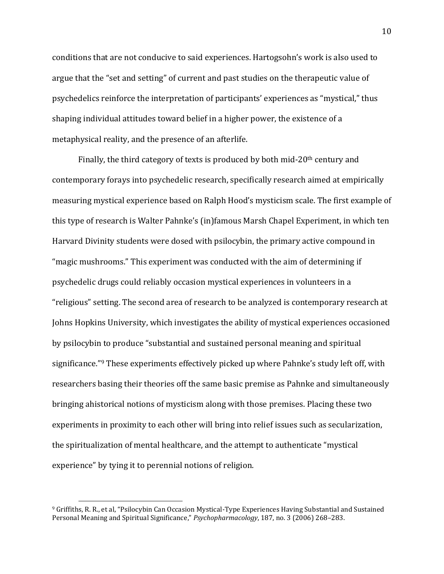conditions that are not conducive to said experiences. Hartogsohn's work is also used to argue that the "set and setting" of current and past studies on the therapeutic value of psychedelics reinforce the interpretation of participants' experiences as "mystical," thus shaping individual attitudes toward belief in a higher power, the existence of a metaphysical reality, and the presence of an afterlife.

Finally, the third category of texts is produced by both mid-20<sup>th</sup> century and contemporary forays into psychedelic research, specifically research aimed at empirically measuring mystical experience based on Ralph Hood's mysticism scale. The first example of this type of research is Walter Pahnke's (in)famous Marsh Chapel Experiment, in which ten Harvard Divinity students were dosed with psilocybin, the primary active compound in "magic mushrooms." This experiment was conducted with the aim of determining if psychedelic drugs could reliably occasion mystical experiences in volunteers in a "religious" setting. The second area of research to be analyzed is contemporary research at Johns Hopkins University, which investigates the ability of mystical experiences occasioned by psilocybin to produce "substantial and sustained personal meaning and spiritual significance."<sup>9</sup> These experiments effectively picked up where Pahnke's study left off, with researchers basing their theories off the same basic premise as Pahnke and simultaneously bringing ahistorical notions of mysticism along with those premises. Placing these two experiments in proximity to each other will bring into relief issues such as secularization, the spiritualization of mental healthcare, and the attempt to authenticate "mystical experience" by tying it to perennial notions of religion.

<sup>9</sup> Griffiths, R. R., et al, "Psilocybin Can Occasion Mystical-Type Experiences Having Substantial and Sustained Personal Meaning and Spiritual Significance," *Psychopharmacology*, 187, no. 3 (2006) 268–283.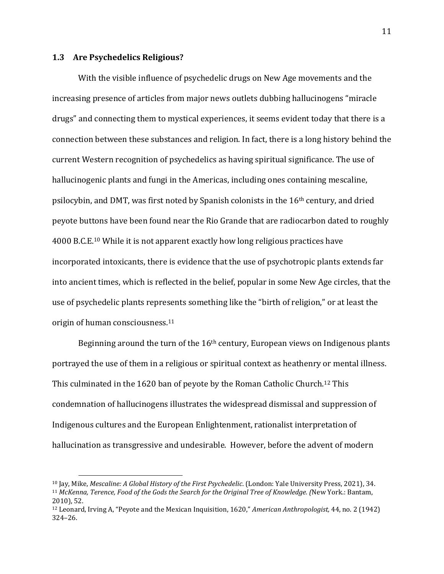#### <span id="page-19-0"></span>**1.3 Are Psychedelics Religious?**

With the visible influence of psychedelic drugs on New Age movements and the increasing presence of articles from major news outlets dubbing hallucinogens "miracle drugs" and connecting them to mystical experiences, it seems evident today that there is a connection between these substances and religion. In fact, there is a long history behind the current Western recognition of psychedelics as having spiritual significance. The use of hallucinogenic plants and fungi in the Americas, including ones containing mescaline, psilocybin, and DMT, was first noted by Spanish colonists in the 16th century, and dried peyote buttons have been found near the Rio Grande that are radiocarbon dated to roughly 4000 B.C.E.<sup>10</sup> While it is not apparent exactly how long religious practices have incorporated intoxicants, there is evidence that the use of psychotropic plants extends far into ancient times, which is reflected in the belief, popular in some New Age circles, that the use of psychedelic plants represents something like the "birth of religion," or at least the origin of human consciousness.<sup>11</sup>

Beginning around the turn of the  $16<sup>th</sup>$  century, European views on Indigenous plants portrayed the use of them in a religious or spiritual context as heathenry or mental illness. This culminated in the 1620 ban of peyote by the Roman Catholic Church.<sup>12</sup> This condemnation of hallucinogens illustrates the widespread dismissal and suppression of Indigenous cultures and the European Enlightenment, rationalist interpretation of hallucination as transgressive and undesirable. However, before the advent of modern

<sup>10</sup> Jay, Mike, *Mescaline: A Global History of the First Psychedelic*. (London: Yale University Press, 2021), 34. <sup>11</sup> *McKenna, Terence, Food of the Gods the Search for the Original Tree of Knowledge. (*New York.: Bantam, 2010), 52.

<sup>12</sup> Leonard, Irving A, "Peyote and the Mexican Inquisition, 1620," *American Anthropologist,* 44, no. 2 (1942) 324–26.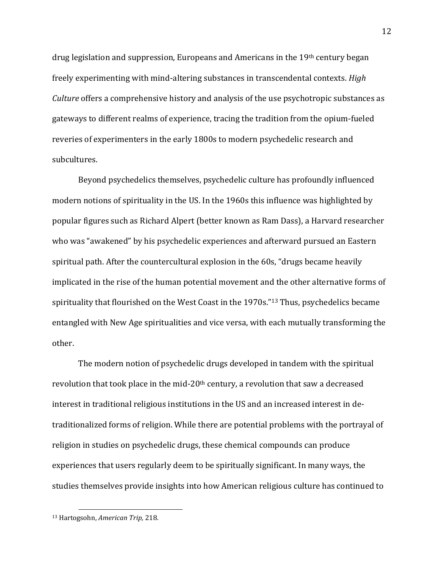drug legislation and suppression, Europeans and Americans in the 19th century began freely experimenting with mind-altering substances in transcendental contexts. *High Culture* offers a comprehensive history and analysis of the use psychotropic substances as gateways to different realms of experience, tracing the tradition from the opium-fueled reveries of experimenters in the early 1800s to modern psychedelic research and subcultures.

Beyond psychedelics themselves, psychedelic culture has profoundly influenced modern notions of spirituality in the US. In the 1960s this influence was highlighted by popular figures such as Richard Alpert (better known as Ram Dass), a Harvard researcher who was "awakened" by his psychedelic experiences and afterward pursued an Eastern spiritual path. After the countercultural explosion in the 60s, "drugs became heavily implicated in the rise of the human potential movement and the other alternative forms of spirituality that flourished on the West Coast in the 1970s."<sup>13</sup> Thus, psychedelics became entangled with New Age spiritualities and vice versa, with each mutually transforming the other.

The modern notion of psychedelic drugs developed in tandem with the spiritual revolution that took place in the mid-20<sup>th</sup> century, a revolution that saw a decreased interest in traditional religious institutions in the US and an increased interest in detraditionalized forms of religion. While there are potential problems with the portrayal of religion in studies on psychedelic drugs, these chemical compounds can produce experiences that users regularly deem to be spiritually significant. In many ways, the studies themselves provide insights into how American religious culture has continued to

<sup>13</sup> Hartogsohn, *American Trip,* 218.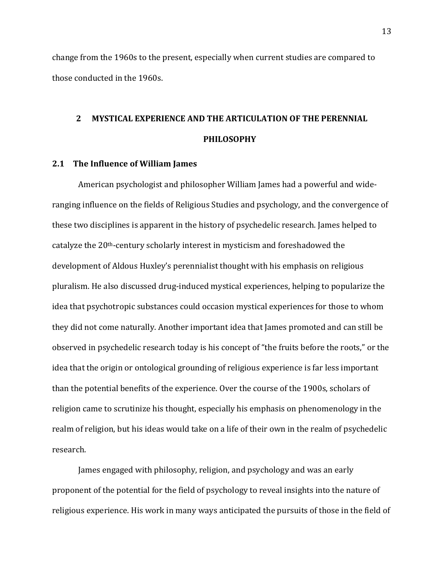change from the 1960s to the present, especially when current studies are compared to those conducted in the 1960s.

## <span id="page-21-0"></span>**2 MYSTICAL EXPERIENCE AND THE ARTICULATION OF THE PERENNIAL PHILOSOPHY**

#### <span id="page-21-1"></span>**2.1 The Influence of William James**

American psychologist and philosopher William James had a powerful and wideranging influence on the fields of Religious Studies and psychology, and the convergence of these two disciplines is apparent in the history of psychedelic research. James helped to catalyze the 20th-century scholarly interest in mysticism and foreshadowed the development of Aldous Huxley's perennialist thought with his emphasis on religious pluralism. He also discussed drug-induced mystical experiences, helping to popularize the idea that psychotropic substances could occasion mystical experiences for those to whom they did not come naturally. Another important idea that James promoted and can still be observed in psychedelic research today is his concept of "the fruits before the roots," or the idea that the origin or ontological grounding of religious experience is far less important than the potential benefits of the experience. Over the course of the 1900s, scholars of religion came to scrutinize his thought, especially his emphasis on phenomenology in the realm of religion, but his ideas would take on a life of their own in the realm of psychedelic research.

James engaged with philosophy, religion, and psychology and was an early proponent of the potential for the field of psychology to reveal insights into the nature of religious experience. His work in many ways anticipated the pursuits of those in the field of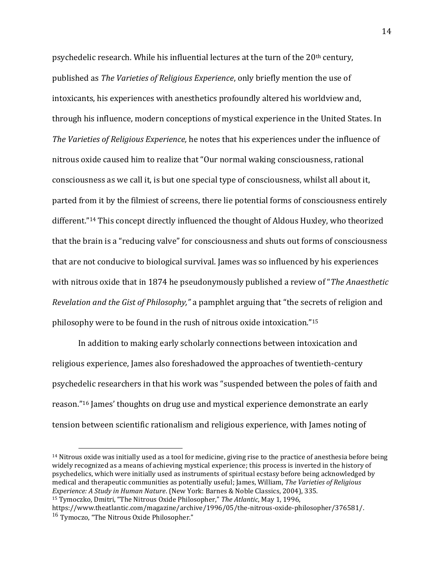psychedelic research. While his influential lectures at the turn of the 20th century, published as *The Varieties of Religious Experience*, only briefly mention the use of intoxicants, his experiences with anesthetics profoundly altered his worldview and, through his influence, modern conceptions of mystical experience in the United States. In *The Varieties of Religious Experience,* he notes that his experiences under the influence of nitrous oxide caused him to realize that "Our normal waking consciousness, rational consciousness as we call it, is but one special type of consciousness, whilst all about it, parted from it by the filmiest of screens, there lie potential forms of consciousness entirely different."<sup>14</sup> This concept directly influenced the thought of Aldous Huxley, who theorized that the brain is a "reducing valve" for consciousness and shuts out forms of consciousness that are not conducive to biological survival. James was so influenced by his experiences with nitrous oxide that in 1874 he pseudonymously published a review of "*The Anaesthetic Revelation and the Gist of Philosophy,"* a pamphlet arguing that "the secrets of religion and philosophy were to be found in the rush of nitrous oxide intoxication." 15

In addition to making early scholarly connections between intoxication and religious experience, James also foreshadowed the approaches of twentieth-century psychedelic researchers in that his work was "suspended between the poles of faith and reason." <sup>16</sup> James' thoughts on drug use and mystical experience demonstrate an early tension between scientific rationalism and religious experience, with James noting of

<sup>14</sup> Nitrous oxide was initially used as a tool for medicine, giving rise to the practice of anesthesia before being widely recognized as a means of achieving mystical experience; this process is inverted in the history of psychedelics, which were initially used as instruments of spiritual ecstasy before being acknowledged by medical and therapeutic communities as potentially useful; James, William, *The Varieties of Religious Experience: A Study in Human Nature*. (New York: Barnes & Noble Classics, 2004), 335. <sup>15</sup> Tymoczko, Dmitri, "The Nitrous Oxide Philosopher," *The Atlantic*, May 1, 1996,

https://www.theatlantic.com/magazine/archive/1996/05/the-nitrous-oxide-philosopher/376581/. <sup>16</sup> Tymoczo, "The Nitrous Oxide Philosopher."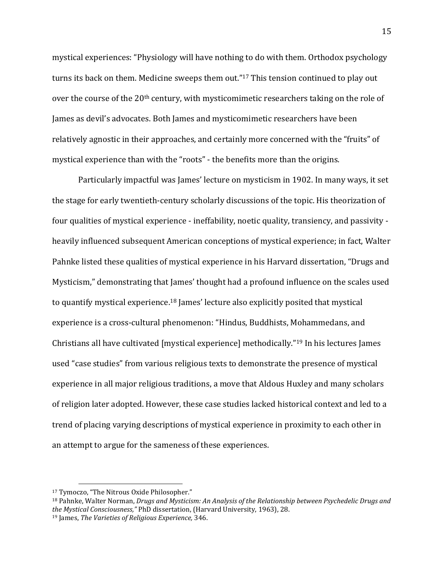mystical experiences: "Physiology will have nothing to do with them. Orthodox psychology turns its back on them. Medicine sweeps them out."<sup>17</sup> This tension continued to play out over the course of the 20th century, with mysticomimetic researchers taking on the role of James as devil's advocates. Both James and mysticomimetic researchers have been relatively agnostic in their approaches, and certainly more concerned with the "fruits" of mystical experience than with the "roots" - the benefits more than the origins.

Particularly impactful was James' lecture on mysticism in 1902. In many ways, it set the stage for early twentieth-century scholarly discussions of the topic. His theorization of four qualities of mystical experience - ineffability, noetic quality, transiency, and passivity heavily influenced subsequent American conceptions of mystical experience; in fact, Walter Pahnke listed these qualities of mystical experience in his Harvard dissertation, "Drugs and Mysticism," demonstrating that James' thought had a profound influence on the scales used to quantify mystical experience.<sup>18</sup> James' lecture also explicitly posited that mystical experience is a cross-cultural phenomenon: "Hindus, Buddhists, Mohammedans, and Christians all have cultivated [mystical experience] methodically."<sup>19</sup> In his lectures James used "case studies" from various religious texts to demonstrate the presence of mystical experience in all major religious traditions, a move that Aldous Huxley and many scholars of religion later adopted. However, these case studies lacked historical context and led to a trend of placing varying descriptions of mystical experience in proximity to each other in an attempt to argue for the sameness of these experiences.

<sup>17</sup> Tymoczo, "The Nitrous Oxide Philosopher."

<sup>18</sup> Pahnke, Walter Norman, *Drugs and Mysticism: An Analysis of the Relationship between Psychedelic Drugs and the Mystical Consciousness,"* PhD dissertation, (Harvard University, 1963), 28. <sup>19</sup> James, *The Varieties of Religious Experience,* 346.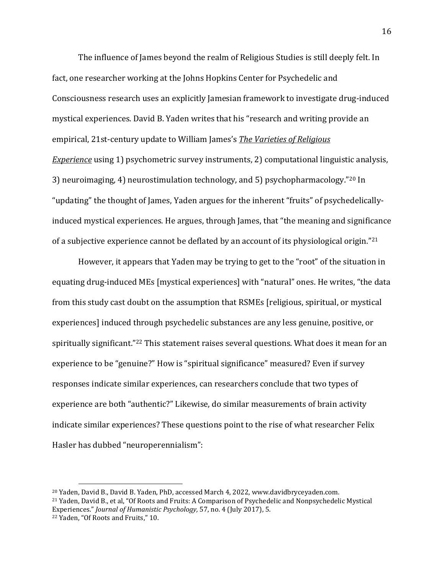The influence of James beyond the realm of Religious Studies is still deeply felt. In fact, one researcher working at the Johns Hopkins Center for Psychedelic and Consciousness research uses an explicitly Jamesian framework to investigate drug-induced mystical experiences. David B. Yaden writes that his "research and writing provide an empirical, 21st-century update to William James's *The [Varieties of Religious](http://www.worldu.edu/library/william_james_var.pdf)  [Experience](http://www.worldu.edu/library/william_james_var.pdf)* using 1) psychometric survey instruments, 2) computational linguistic analysis, 3) neuroimaging, 4) neurostimulation technology, and 5) psychopharmacology."<sup>20</sup> In "updating" the thought of James, Yaden argues for the inherent "fruits" of psychedelicallyinduced mystical experiences. He argues, through James, that "the meaning and significance of a subjective experience cannot be deflated by an account of its physiological origin."<sup>21</sup>

However, it appears that Yaden may be trying to get to the "root" of the situation in equating drug-induced MEs [mystical experiences] with "natural" ones. He writes, "the data from this study cast doubt on the assumption that RSMEs [religious, spiritual, or mystical experiences] induced through psychedelic substances are any less genuine, positive, or spiritually significant."<sup>22</sup> This statement raises several questions. What does it mean for an experience to be "genuine?" How is "spiritual significance" measured? Even if survey responses indicate similar experiences, can researchers conclude that two types of experience are both "authentic?" Likewise, do similar measurements of brain activity indicate similar experiences? These questions point to the rise of what researcher Felix Hasler has dubbed "neuroperennialism":

<sup>20</sup> Yaden, David B., David B. Yaden, PhD, accessed March 4, 2022, www.davidbryceyaden.com. <sup>21</sup> Yaden, David B., et al, "Of Roots and Fruits: A Comparison of Psychedelic and Nonpsychedelic Mystical Experiences." *Journal of Humanistic Psychology,* 57, no. 4 (July 2017), 5. <sup>22</sup> Yaden, "Of Roots and Fruits," 10.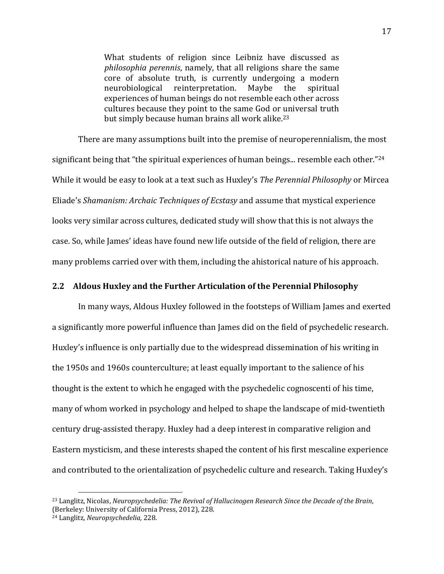What students of religion since Leibniz have discussed as *philosophia perennis*, namely, that all religions share the same core of absolute truth, is currently undergoing a modern neurobiological reinterpretation. Maybe the spiritual experiences of human beings do not resemble each other across cultures because they point to the same God or universal truth but simply because human brains all work alike.<sup>23</sup>

There are many assumptions built into the premise of neuroperennialism, the most significant being that "the spiritual experiences of human beings... resemble each other."<sup>24</sup> While it would be easy to look at a text such as Huxley's *The Perennial Philosophy* or Mircea Eliade's *Shamanism: Archaic Techniques of Ecstasy* and assume that mystical experience looks very similar across cultures, dedicated study will show that this is not always the case. So, while James' ideas have found new life outside of the field of religion, there are many problems carried over with them, including the ahistorical nature of his approach.

#### <span id="page-25-0"></span>**2.2 Aldous Huxley and the Further Articulation of the Perennial Philosophy**

In many ways, Aldous Huxley followed in the footsteps of William James and exerted a significantly more powerful influence than James did on the field of psychedelic research. Huxley's influence is only partially due to the widespread dissemination of his writing in the 1950s and 1960s counterculture; at least equally important to the salience of his thought is the extent to which he engaged with the psychedelic cognoscenti of his time, many of whom worked in psychology and helped to shape the landscape of mid-twentieth century drug-assisted therapy. Huxley had a deep interest in comparative religion and Eastern mysticism, and these interests shaped the content of his first mescaline experience and contributed to the orientalization of psychedelic culture and research. Taking Huxley's

<sup>23</sup> Langlitz, Nicolas, *Neuropsychedelia: The Revival of Hallucinogen Research Since the Decade of the Brain*, (Berkeley: University of California Press, 2012), 228.

<sup>24</sup> Langlitz, *Neuropsychedelia,* 228.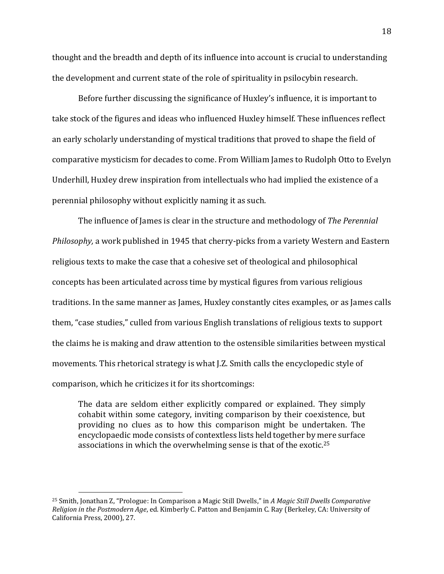thought and the breadth and depth of its influence into account is crucial to understanding the development and current state of the role of spirituality in psilocybin research.

Before further discussing the significance of Huxley's influence, it is important to take stock of the figures and ideas who influenced Huxley himself. These influences reflect an early scholarly understanding of mystical traditions that proved to shape the field of comparative mysticism for decades to come. From William James to Rudolph Otto to Evelyn Underhill, Huxley drew inspiration from intellectuals who had implied the existence of a perennial philosophy without explicitly naming it as such.

The influence of James is clear in the structure and methodology of *The Perennial Philosophy,* a work published in 1945 that cherry-picks from a variety Western and Eastern religious texts to make the case that a cohesive set of theological and philosophical concepts has been articulated across time by mystical figures from various religious traditions. In the same manner as James, Huxley constantly cites examples, or as James calls them, "case studies," culled from various English translations of religious texts to support the claims he is making and draw attention to the ostensible similarities between mystical movements. This rhetorical strategy is what J.Z. Smith calls the encyclopedic style of comparison, which he criticizes it for its shortcomings:

The data are seldom either explicitly compared or explained. They simply cohabit within some category, inviting comparison by their coexistence, but providing no clues as to how this comparison might be undertaken. The encyclopaedic mode consists of contextless lists held together by mere surface associations in which the overwhelming sense is that of the exotic.<sup>25</sup>

<sup>25</sup> Smith, Jonathan Z, "Prologue: In Comparison a Magic Still Dwells," in *A Magic Still Dwells Comparative Religion in the Postmodern Age*, ed. Kimberly C. Patton and Benjamin C. Ray (Berkeley, CA: University of California Press, 2000), 27.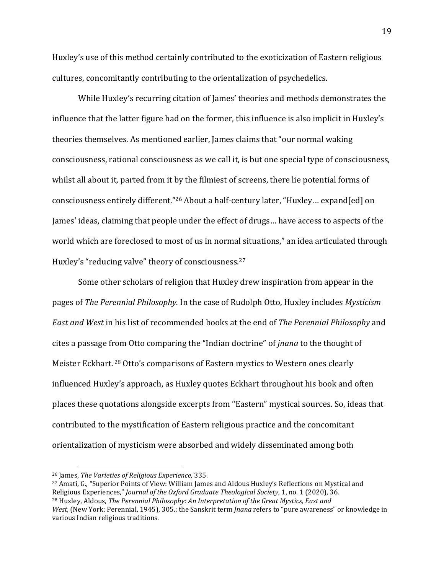Huxley's use of this method certainly contributed to the exoticization of Eastern religious cultures, concomitantly contributing to the orientalization of psychedelics.

While Huxley's recurring citation of James' theories and methods demonstrates the influence that the latter figure had on the former, this influence is also implicit in Huxley's theories themselves. As mentioned earlier, James claims that "our normal waking consciousness, rational consciousness as we call it, is but one special type of consciousness, whilst all about it, parted from it by the filmiest of screens, there lie potential forms of consciousness entirely different."<sup>26</sup> About a half-century later, "Huxley… expand[ed] on James' ideas, claiming that people under the effect of drugs… have access to aspects of the world which are foreclosed to most of us in normal situations," an idea articulated through Huxley's "reducing valve" theory of consciousness.<sup>27</sup>

Some other scholars of religion that Huxley drew inspiration from appear in the pages of *The Perennial Philosophy.* In the case of Rudolph Otto, Huxley includes *Mysticism East and West* in his list of recommended books at the end of *The Perennial Philosophy* and cites a passage from Otto comparing the "Indian doctrine" of *jnana* to the thought of Meister Eckhart. <sup>28</sup> Otto's comparisons of Eastern mystics to Western ones clearly influenced Huxley's approach, as Huxley quotes Eckhart throughout his book and often places these quotations alongside excerpts from "Eastern" mystical sources. So, ideas that contributed to the mystification of Eastern religious practice and the concomitant orientalization of mysticism were absorbed and widely disseminated among both

<sup>27</sup> Amati, G., "Superior Points of View: William James and Aldous Huxley's Reflections on Mystical and Religious Experiences," *Journal of the Oxford Graduate Theological Society,* 1, no. 1 (2020), 36. <sup>28</sup> Huxley, Aldous, *The Perennial Philosophy: An Interpretation of the Great Mystics, East and West*, (New York: Perennial, 1945), 305.; the Sanskrit term *Jnana* refers to "pure awareness" or knowledge in various Indian religious traditions.

<sup>26</sup> James, *The Varieties of Religious Experience,* 335.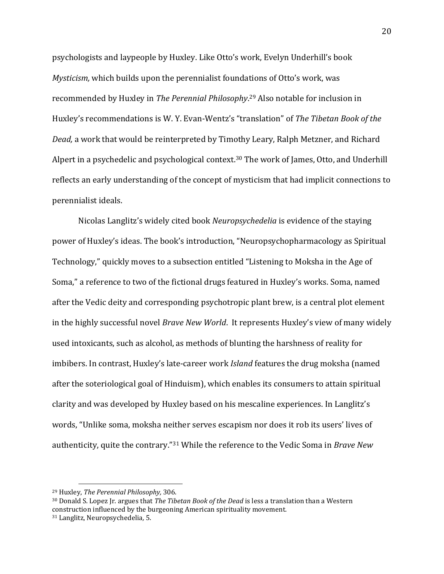psychologists and laypeople by Huxley. Like Otto's work, Evelyn Underhill's book *Mysticism,* which builds upon the perennialist foundations of Otto's work, was recommended by Huxley in *The Perennial Philosophy*. <sup>29</sup> Also notable for inclusion in Huxley's recommendations is W. Y. Evan-Wentz's "translation" of *The Tibetan Book of the Dead,* a work that would be reinterpreted by Timothy Leary, Ralph Metzner, and Richard Alpert in a psychedelic and psychological context.<sup>30</sup> The work of James, Otto, and Underhill reflects an early understanding of the concept of mysticism that had implicit connections to perennialist ideals.

Nicolas Langlitz's widely cited book *Neuropsychedelia* is evidence of the staying power of Huxley's ideas. The book's introduction, "Neuropsychopharmacology as Spiritual Technology," quickly moves to a subsection entitled "Listening to Moksha in the Age of Soma," a reference to two of the fictional drugs featured in Huxley's works. Soma, named after the Vedic deity and corresponding psychotropic plant brew, is a central plot element in the highly successful novel *Brave New World*. It represents Huxley's view of many widely used intoxicants, such as alcohol, as methods of blunting the harshness of reality for imbibers. In contrast, Huxley's late-career work *Island* features the drug moksha (named after the soteriological goal of Hinduism), which enables its consumers to attain spiritual clarity and was developed by Huxley based on his mescaline experiences. In Langlitz's words, "Unlike soma, moksha neither serves escapism nor does it rob its users' lives of authenticity, quite the contrary."<sup>31</sup> While the reference to the Vedic Soma in *Brave New* 

<sup>29</sup> Huxley, *The Perennial Philosophy,* 306.

<sup>30</sup> Donald S. Lopez Jr. argues that *The Tibetan Book of the Dead* is less a translation than a Western construction influenced by the burgeoning American spirituality movement. <sup>31</sup> Langlitz, Neuropsychedelia*,* 5.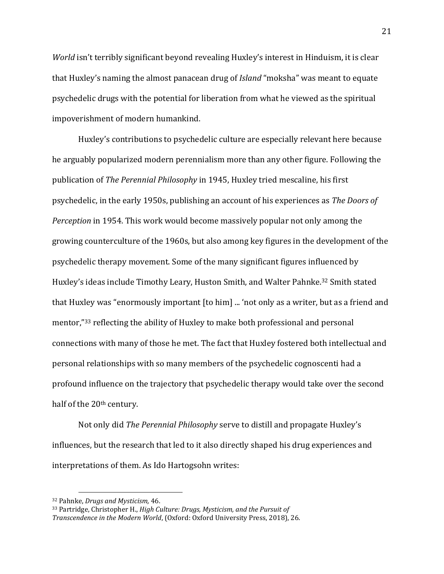*World* isn't terribly significant beyond revealing Huxley's interest in Hinduism, it is clear that Huxley's naming the almost panacean drug of *Island* "moksha" was meant to equate psychedelic drugs with the potential for liberation from what he viewed as the spiritual impoverishment of modern humankind.

Huxley's contributions to psychedelic culture are especially relevant here because he arguably popularized modern perennialism more than any other figure. Following the publication of *The Perennial Philosophy* in 1945, Huxley tried mescaline, his first psychedelic, in the early 1950s, publishing an account of his experiences as *The Doors of Perception* in 1954. This work would become massively popular not only among the growing counterculture of the 1960s, but also among key figures in the development of the psychedelic therapy movement. Some of the many significant figures influenced by Huxley's ideas include Timothy Leary, Huston Smith, and Walter Pahnke.<sup>32</sup> Smith stated that Huxley was "enormously important [to him] ... 'not only as a writer, but as a friend and mentor,"<sup>33</sup> reflecting the ability of Huxley to make both professional and personal connections with many of those he met. The fact that Huxley fostered both intellectual and personal relationships with so many members of the psychedelic cognoscenti had a profound influence on the trajectory that psychedelic therapy would take over the second half of the 20<sup>th</sup> century.

Not only did *The Perennial Philosophy* serve to distill and propagate Huxley's influences, but the research that led to it also directly shaped his drug experiences and interpretations of them. As Ido Hartogsohn writes:

<sup>32</sup> Pahnke, *Drugs and Mysticism,* 46.

<sup>33</sup> Partridge, Christopher H., *High Culture: Drugs, Mysticism, and the Pursuit of Transcendence in the Modern World*, (Oxford: Oxford University Press, 2018), 26.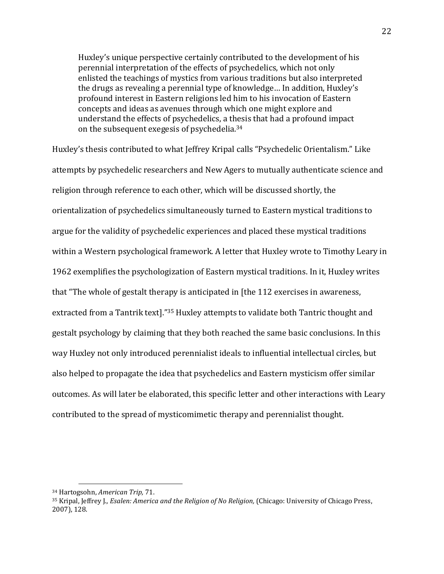Huxley's unique perspective certainly contributed to the development of his perennial interpretation of the effects of psychedelics, which not only enlisted the teachings of mystics from various traditions but also interpreted the drugs as revealing a perennial type of knowledge… In addition, Huxley's profound interest in Eastern religions led him to his invocation of Eastern concepts and ideas as avenues through which one might explore and understand the effects of psychedelics, a thesis that had a profound impact on the subsequent exegesis of psychedelia.<sup>34</sup>

Huxley's thesis contributed to what Jeffrey Kripal calls "Psychedelic Orientalism." Like attempts by psychedelic researchers and New Agers to mutually authenticate science and religion through reference to each other, which will be discussed shortly, the orientalization of psychedelics simultaneously turned to Eastern mystical traditions to argue for the validity of psychedelic experiences and placed these mystical traditions within a Western psychological framework. A letter that Huxley wrote to Timothy Leary in 1962 exemplifies the psychologization of Eastern mystical traditions. In it, Huxley writes that "The whole of gestalt therapy is anticipated in [the 112 exercises in awareness, extracted from a Tantrik text]."<sup>35</sup> Huxley attempts to validate both Tantric thought and gestalt psychology by claiming that they both reached the same basic conclusions. In this way Huxley not only introduced perennialist ideals to influential intellectual circles, but also helped to propagate the idea that psychedelics and Eastern mysticism offer similar outcomes. As will later be elaborated, this specific letter and other interactions with Leary contributed to the spread of mysticomimetic therapy and perennialist thought.

<sup>34</sup> Hartogsohn, *American Trip,* 71.

<sup>35</sup> Kripal, Jeffrey J., *Esalen: America and the Religion of No Religion,* (Chicago: University of Chicago Press, 2007), 128.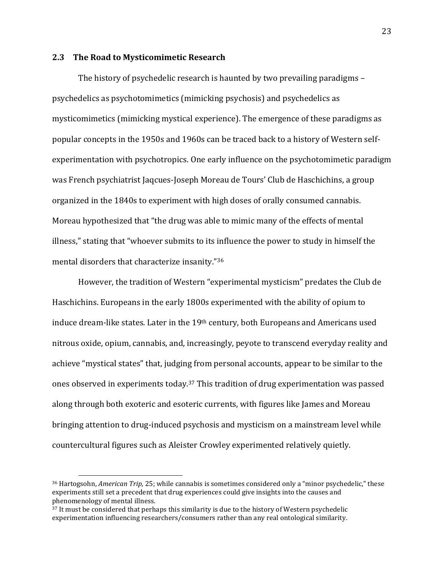#### <span id="page-31-0"></span>**2.3 The Road to Mysticomimetic Research**

The history of psychedelic research is haunted by two prevailing paradigms – psychedelics as psychotomimetics (mimicking psychosis) and psychedelics as mysticomimetics (mimicking mystical experience). The emergence of these paradigms as popular concepts in the 1950s and 1960s can be traced back to a history of Western selfexperimentation with psychotropics. One early influence on the psychotomimetic paradigm was French psychiatrist Jaqcues-Joseph Moreau de Tours' Club de Haschichins, a group organized in the 1840s to experiment with high doses of orally consumed cannabis. Moreau hypothesized that "the drug was able to mimic many of the effects of mental illness," stating that "whoever submits to its influence the power to study in himself the mental disorders that characterize insanity."<sup>36</sup>

However, the tradition of Western "experimental mysticism" predates the Club de Haschichins. Europeans in the early 1800s experimented with the ability of opium to induce dream-like states. Later in the 19<sup>th</sup> century, both Europeans and Americans used nitrous oxide, opium, cannabis, and, increasingly, peyote to transcend everyday reality and achieve "mystical states" that, judging from personal accounts, appear to be similar to the ones observed in experiments today.<sup>37</sup> This tradition of drug experimentation was passed along through both exoteric and esoteric currents, with figures like James and Moreau bringing attention to drug-induced psychosis and mysticism on a mainstream level while countercultural figures such as Aleister Crowley experimented relatively quietly.

<sup>36</sup> Hartogsohn, *American Trip,* 25; while cannabis is sometimes considered only a "minor psychedelic," these experiments still set a precedent that drug experiences could give insights into the causes and phenomenology of mental illness.

<sup>&</sup>lt;sup>37</sup> It must be considered that perhaps this similarity is due to the history of Western psychedelic experimentation influencing researchers/consumers rather than any real ontological similarity.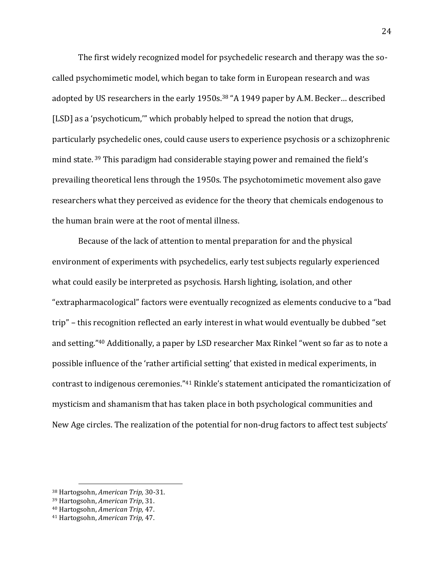The first widely recognized model for psychedelic research and therapy was the socalled psychomimetic model, which began to take form in European research and was adopted by US researchers in the early 1950s.<sup>38</sup> "A 1949 paper by A.M. Becker… described [LSD] as a 'psychoticum,'" which probably helped to spread the notion that drugs, particularly psychedelic ones, could cause users to experience psychosis or a schizophrenic mind state. <sup>39</sup> This paradigm had considerable staying power and remained the field's prevailing theoretical lens through the 1950s. The psychotomimetic movement also gave researchers what they perceived as evidence for the theory that chemicals endogenous to the human brain were at the root of mental illness.

Because of the lack of attention to mental preparation for and the physical environment of experiments with psychedelics, early test subjects regularly experienced what could easily be interpreted as psychosis. Harsh lighting, isolation, and other "extrapharmacological" factors were eventually recognized as elements conducive to a "bad trip" – this recognition reflected an early interest in what would eventually be dubbed "set and setting."<sup>40</sup> Additionally, a paper by LSD researcher Max Rinkel "went so far as to note a possible influence of the 'rather artificial setting' that existed in medical experiments, in contrast to indigenous ceremonies."<sup>41</sup> Rinkle's statement anticipated the romanticization of mysticism and shamanism that has taken place in both psychological communities and New Age circles. The realization of the potential for non-drug factors to affect test subjects'

<sup>38</sup> Hartogsohn, *American Trip,* 30-31.

<sup>39</sup> Hartogsohn, *American Trip*, 31.

<sup>40</sup> Hartogsohn, *American Trip,* 47.

<sup>41</sup> Hartogsohn, *American Trip,* 47.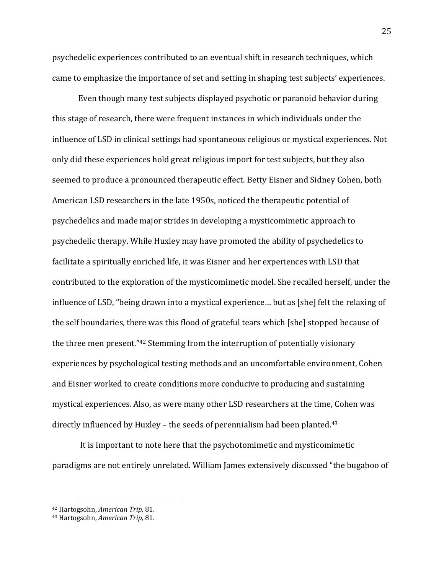psychedelic experiences contributed to an eventual shift in research techniques, which came to emphasize the importance of set and setting in shaping test subjects' experiences.

Even though many test subjects displayed psychotic or paranoid behavior during this stage of research, there were frequent instances in which individuals under the influence of LSD in clinical settings had spontaneous religious or mystical experiences. Not only did these experiences hold great religious import for test subjects, but they also seemed to produce a pronounced therapeutic effect. Betty Eisner and Sidney Cohen, both American LSD researchers in the late 1950s, noticed the therapeutic potential of psychedelics and made major strides in developing a mysticomimetic approach to psychedelic therapy. While Huxley may have promoted the ability of psychedelics to facilitate a spiritually enriched life, it was Eisner and her experiences with LSD that contributed to the exploration of the mysticomimetic model. She recalled herself, under the influence of LSD, "being drawn into a mystical experience… but as [she] felt the relaxing of the self boundaries, there was this flood of grateful tears which [she] stopped because of the three men present."<sup>42</sup> Stemming from the interruption of potentially visionary experiences by psychological testing methods and an uncomfortable environment, Cohen and Eisner worked to create conditions more conducive to producing and sustaining mystical experiences. Also, as were many other LSD researchers at the time, Cohen was directly influenced by Huxley – the seeds of perennialism had been planted.<sup>43</sup>

It is important to note here that the psychotomimetic and mysticomimetic paradigms are not entirely unrelated. William James extensively discussed "the bugaboo of

<sup>42</sup> Hartogsohn, *American Trip,* 81.

<sup>43</sup> Hartogsohn, *American Trip,* 81.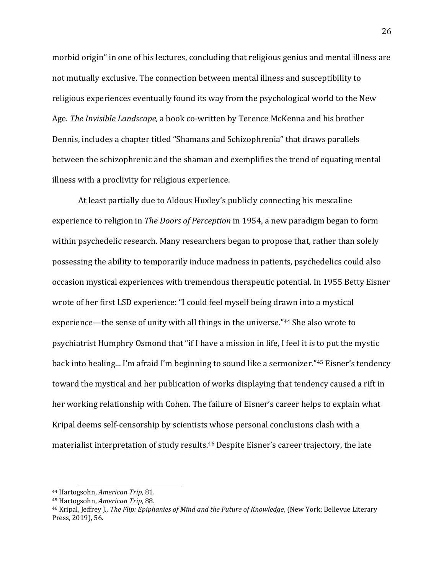morbid origin" in one of his lectures, concluding that religious genius and mental illness are not mutually exclusive. The connection between mental illness and susceptibility to religious experiences eventually found its way from the psychological world to the New Age. *The Invisible Landscape,* a book co-written by Terence McKenna and his brother Dennis, includes a chapter titled "Shamans and Schizophrenia" that draws parallels between the schizophrenic and the shaman and exemplifies the trend of equating mental illness with a proclivity for religious experience.

At least partially due to Aldous Huxley's publicly connecting his mescaline experience to religion in *The Doors of Perception* in 1954, a new paradigm began to form within psychedelic research. Many researchers began to propose that, rather than solely possessing the ability to temporarily induce madness in patients, psychedelics could also occasion mystical experiences with tremendous therapeutic potential. In 1955 Betty Eisner wrote of her first LSD experience: "I could feel myself being drawn into a mystical experience—the sense of unity with all things in the universe."<sup>44</sup> She also wrote to psychiatrist Humphry Osmond that "if I have a mission in life, I feel it is to put the mystic back into healing... I'm afraid I'm beginning to sound like a sermonizer."<sup>45</sup> Eisner's tendency toward the mystical and her publication of works displaying that tendency caused a rift in her working relationship with Cohen. The failure of Eisner's career helps to explain what Kripal deems self-censorship by scientists whose personal conclusions clash with a materialist interpretation of study results.<sup>46</sup> Despite Eisner's career trajectory, the late

<sup>44</sup> Hartogsohn, *American Trip,* 81.

<sup>45</sup> Hartogsohn, *American Trip*, 88.

<sup>46</sup> Kripal, Jeffrey J., *The Flip: Epiphanies of Mind and the Future of Knowledge*, (New York: Bellevue Literary Press, 2019), 56.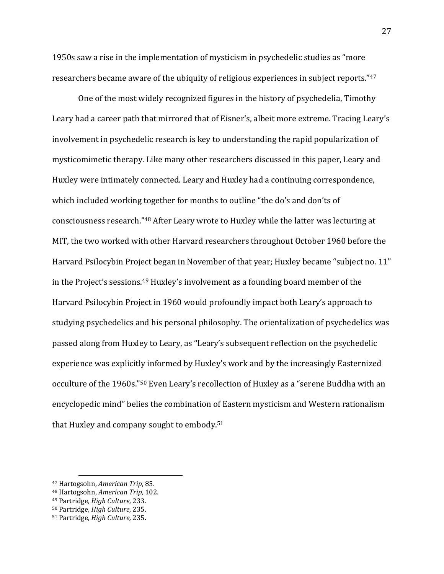1950s saw a rise in the implementation of mysticism in psychedelic studies as "more researchers became aware of the ubiquity of religious experiences in subject reports."<sup>47</sup>

One of the most widely recognized figures in the history of psychedelia, Timothy Leary had a career path that mirrored that of Eisner's, albeit more extreme. Tracing Leary's involvement in psychedelic research is key to understanding the rapid popularization of mysticomimetic therapy. Like many other researchers discussed in this paper, Leary and Huxley were intimately connected. Leary and Huxley had a continuing correspondence, which included working together for months to outline "the do's and don'ts of consciousness research."<sup>48</sup> After Leary wrote to Huxley while the latter was lecturing at MIT, the two worked with other Harvard researchers throughout October 1960 before the Harvard Psilocybin Project began in November of that year; Huxley became "subject no. 11" in the Project's sessions.<sup>49</sup> Huxley's involvement as a founding board member of the Harvard Psilocybin Project in 1960 would profoundly impact both Leary's approach to studying psychedelics and his personal philosophy. The orientalization of psychedelics was passed along from Huxley to Leary, as "Leary's subsequent reflection on the psychedelic experience was explicitly informed by Huxley's work and by the increasingly Easternized occulture of the 1960s."<sup>50</sup> Even Leary's recollection of Huxley as a "serene Buddha with an encyclopedic mind" belies the combination of Eastern mysticism and Western rationalism that Huxley and company sought to embody.<sup>51</sup>

<sup>47</sup> Hartogsohn, *American Trip*, 85.

<sup>48</sup> Hartogsohn, *American Trip,* 102.

<sup>49</sup> Partridge, *High Culture,* 233.

<sup>50</sup> Partridge, *High Culture,* 235.

<sup>51</sup> Partridge, *High Culture,* 235.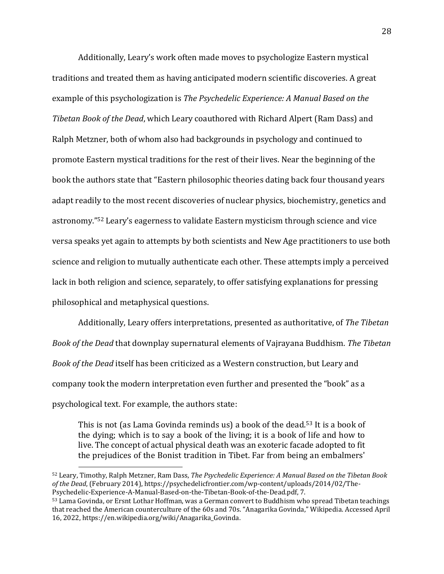Additionally, Leary's work often made moves to psychologize Eastern mystical traditions and treated them as having anticipated modern scientific discoveries. A great example of this psychologization is *The Psychedelic Experience: A Manual Based on the Tibetan Book of the Dead*, which Leary coauthored with Richard Alpert (Ram Dass) and Ralph Metzner, both of whom also had backgrounds in psychology and continued to promote Eastern mystical traditions for the rest of their lives. Near the beginning of the book the authors state that "Eastern philosophic theories dating back four thousand years adapt readily to the most recent discoveries of nuclear physics, biochemistry, genetics and astronomy."<sup>52</sup> Leary's eagerness to validate Eastern mysticism through science and vice versa speaks yet again to attempts by both scientists and New Age practitioners to use both science and religion to mutually authenticate each other. These attempts imply a perceived lack in both religion and science, separately, to offer satisfying explanations for pressing philosophical and metaphysical questions.

Additionally, Leary offers interpretations, presented as authoritative, of *The Tibetan Book of the Dead* that downplay supernatural elements of Vajrayana Buddhism. *The Tibetan Book of the Dead* itself has been criticized as a Western construction, but Leary and company took the modern interpretation even further and presented the "book" as a psychological text. For example, the authors state:

This is not (as Lama Govinda reminds us) a book of the dead.<sup>53</sup> It is a book of the dying; which is to say a book of the living; it is a book of life and how to live. The concept of actual physical death was an exoteric facade adopted to fit the prejudices of the Bonist tradition in Tibet. Far from being an embalmers'

<sup>52</sup> Leary, Timothy, Ralph Metzner, Ram Dass, *The Psychedelic Experience: A Manual Based on the Tibetan Book of the Dead*, (February 2014), https://psychedelicfrontier.com/wp-content/uploads/2014/02/The-Psychedelic-Experience-A-Manual-Based-on-the-Tibetan-Book-of-the-Dead.pdf, 7.

<sup>53</sup> Lama Govinda, or Ersnt Lothar Hoffman, was a German convert to Buddhism who spread Tibetan teachings that reached the American counterculture of the 60s and 70s. "Anagarika Govinda," Wikipedia. Accessed April 16, 2022, https://en.wikipedia.org/wiki/Anagarika\_Govinda.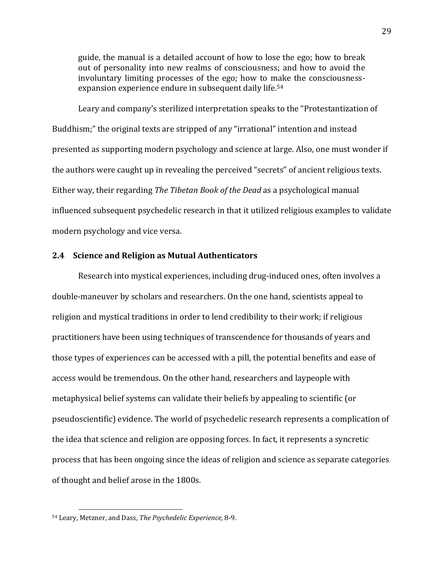guide, the manual is a detailed account of how to lose the ego; how to break out of personality into new realms of consciousness; and how to avoid the involuntary limiting processes of the ego; how to make the consciousnessexpansion experience endure in subsequent daily life.<sup>54</sup>

Leary and company's sterilized interpretation speaks to the "Protestantization of Buddhism;" the original texts are stripped of any "irrational" intention and instead presented as supporting modern psychology and science at large. Also, one must wonder if the authors were caught up in revealing the perceived "secrets" of ancient religious texts. Either way, their regarding *The Tibetan Book of the Dead* as a psychological manual influenced subsequent psychedelic research in that it utilized religious examples to validate modern psychology and vice versa.

#### <span id="page-37-0"></span>**2.4 Science and Religion as Mutual Authenticators**

Research into mystical experiences, including drug-induced ones, often involves a double-maneuver by scholars and researchers. On the one hand, scientists appeal to religion and mystical traditions in order to lend credibility to their work; if religious practitioners have been using techniques of transcendence for thousands of years and those types of experiences can be accessed with a pill, the potential benefits and ease of access would be tremendous. On the other hand, researchers and laypeople with metaphysical belief systems can validate their beliefs by appealing to scientific (or pseudoscientific) evidence. The world of psychedelic research represents a complication of the idea that science and religion are opposing forces. In fact, it represents a syncretic process that has been ongoing since the ideas of religion and science as separate categories of thought and belief arose in the 1800s.

<sup>54</sup> Leary, Metzner, and Dass, *The Psychedelic Experience,* 8-9.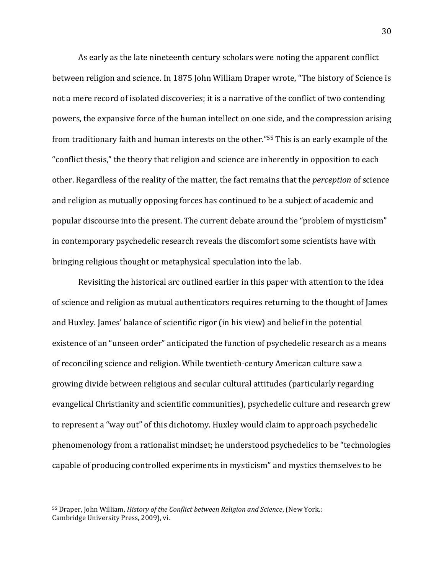As early as the late nineteenth century scholars were noting the apparent conflict between religion and science. In 1875 John William Draper wrote, "The history of Science is not a mere record of isolated discoveries; it is a narrative of the conflict of two contending powers, the expansive force of the human intellect on one side, and the compression arising from traditionary faith and human interests on the other."<sup>55</sup> This is an early example of the "conflict thesis," the theory that religion and science are inherently in opposition to each other. Regardless of the reality of the matter, the fact remains that the *perception* of science and religion as mutually opposing forces has continued to be a subject of academic and popular discourse into the present. The current debate around the "problem of mysticism" in contemporary psychedelic research reveals the discomfort some scientists have with bringing religious thought or metaphysical speculation into the lab.

Revisiting the historical arc outlined earlier in this paper with attention to the idea of science and religion as mutual authenticators requires returning to the thought of James and Huxley. James' balance of scientific rigor (in his view) and belief in the potential existence of an "unseen order" anticipated the function of psychedelic research as a means of reconciling science and religion. While twentieth-century American culture saw a growing divide between religious and secular cultural attitudes (particularly regarding evangelical Christianity and scientific communities), psychedelic culture and research grew to represent a "way out" of this dichotomy. Huxley would claim to approach psychedelic phenomenology from a rationalist mindset; he understood psychedelics to be "technologies capable of producing controlled experiments in mysticism" and mystics themselves to be

<sup>55</sup> Draper, John William, *History of the Conflict between Religion and Science*, (New York.: Cambridge University Press, 2009), vi.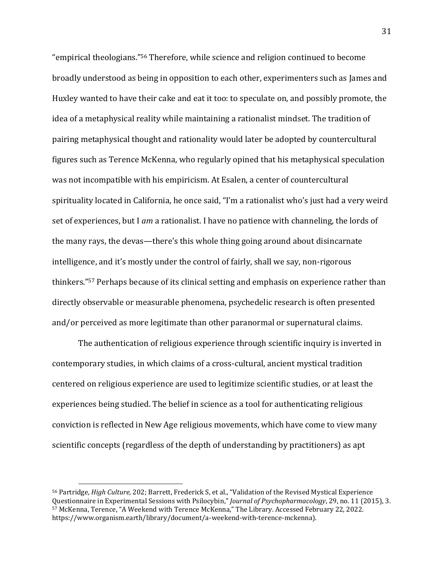"empirical theologians."<sup>56</sup> Therefore, while science and religion continued to become broadly understood as being in opposition to each other, experimenters such as James and Huxley wanted to have their cake and eat it too: to speculate on, and possibly promote, the idea of a metaphysical reality while maintaining a rationalist mindset. The tradition of pairing metaphysical thought and rationality would later be adopted by countercultural figures such as Terence McKenna, who regularly opined that his metaphysical speculation was not incompatible with his empiricism. At Esalen, a center of countercultural spirituality located in California, he once said, "I'm a rationalist who's just had a very weird set of experiences, but I *am* a rationalist. I have no patience with channeling, the lords of the many rays, the devas—there's this whole thing going around about disincarnate intelligence, and it's mostly under the control of fairly, shall we say, non-rigorous thinkers."<sup>57</sup> Perhaps because of its clinical setting and emphasis on experience rather than directly observable or measurable phenomena, psychedelic research is often presented and/or perceived as more legitimate than other paranormal or supernatural claims.

The authentication of religious experience through scientific inquiry is inverted in contemporary studies, in which claims of a cross-cultural, ancient mystical tradition centered on religious experience are used to legitimize scientific studies, or at least the experiences being studied. The belief in science as a tool for authenticating religious conviction is reflected in New Age religious movements, which have come to view many scientific concepts (regardless of the depth of understanding by practitioners) as apt

<sup>56</sup> Partridge, *High Culture*, 202; Barrett, Frederick S, et al., "Validation of the Revised Mystical Experience Questionnaire in Experimental Sessions with Psilocybin," *Journal of Psychopharmacology*, 29, no. 11 (2015), 3. <sup>57</sup> McKenna, Terence, "A Weekend with Terence McKenna," The Library. Accessed February 22, 2022. https://www.organism.earth/library/document/a-weekend-with-terence-mckenna).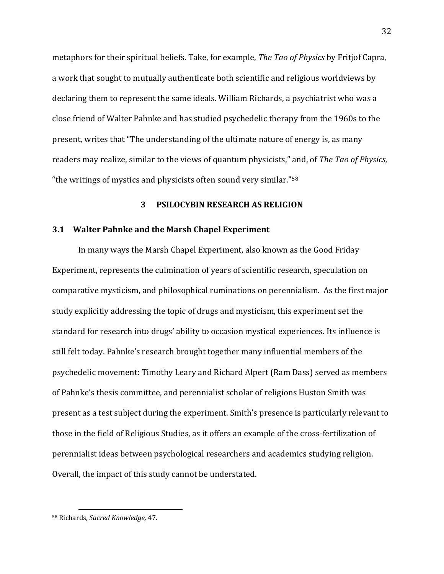metaphors for their spiritual beliefs. Take, for example, *The Tao of Physics* by Fritjof Capra, a work that sought to mutually authenticate both scientific and religious worldviews by declaring them to represent the same ideals. William Richards, a psychiatrist who was a close friend of Walter Pahnke and has studied psychedelic therapy from the 1960s to the present, writes that "The understanding of the ultimate nature of energy is, as many readers may realize, similar to the views of quantum physicists," and, of *The Tao of Physics,*  "the writings of mystics and physicists often sound very similar."<sup>58</sup>

#### **3 PSILOCYBIN RESEARCH AS RELIGION**

#### <span id="page-40-1"></span><span id="page-40-0"></span>**3.1 Walter Pahnke and the Marsh Chapel Experiment**

In many ways the Marsh Chapel Experiment, also known as the Good Friday Experiment, represents the culmination of years of scientific research, speculation on comparative mysticism, and philosophical ruminations on perennialism. As the first major study explicitly addressing the topic of drugs and mysticism, this experiment set the standard for research into drugs' ability to occasion mystical experiences. Its influence is still felt today. Pahnke's research brought together many influential members of the psychedelic movement: Timothy Leary and Richard Alpert (Ram Dass) served as members of Pahnke's thesis committee, and perennialist scholar of religions Huston Smith was present as a test subject during the experiment. Smith's presence is particularly relevant to those in the field of Religious Studies, as it offers an example of the cross-fertilization of perennialist ideas between psychological researchers and academics studying religion. Overall, the impact of this study cannot be understated.

<sup>58</sup> Richards, *Sacred Knowledge,* 47.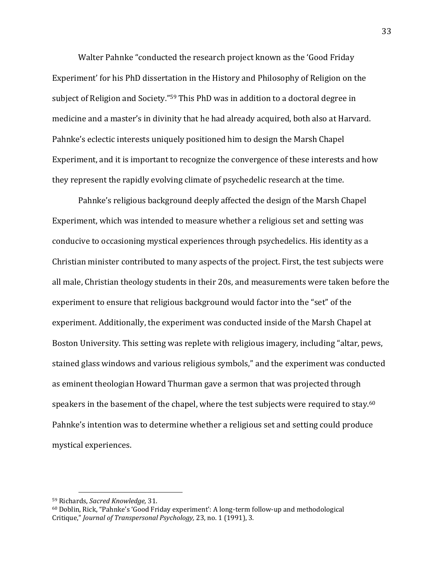Walter Pahnke "conducted the research project known as the 'Good Friday Experiment' for his PhD dissertation in the History and Philosophy of Religion on the subject of Religion and Society."<sup>59</sup> This PhD was in addition to a doctoral degree in medicine and a master's in divinity that he had already acquired, both also at Harvard. Pahnke's eclectic interests uniquely positioned him to design the Marsh Chapel Experiment, and it is important to recognize the convergence of these interests and how they represent the rapidly evolving climate of psychedelic research at the time.

Pahnke's religious background deeply affected the design of the Marsh Chapel Experiment, which was intended to measure whether a religious set and setting was conducive to occasioning mystical experiences through psychedelics. His identity as a Christian minister contributed to many aspects of the project. First, the test subjects were all male, Christian theology students in their 20s, and measurements were taken before the experiment to ensure that religious background would factor into the "set" of the experiment. Additionally, the experiment was conducted inside of the Marsh Chapel at Boston University. This setting was replete with religious imagery, including "altar, pews, stained glass windows and various religious symbols," and the experiment was conducted as eminent theologian Howard Thurman gave a sermon that was projected through speakers in the basement of the chapel, where the test subjects were required to stay.<sup>60</sup> Pahnke's intention was to determine whether a religious set and setting could produce mystical experiences.

<sup>59</sup> Richards, *Sacred Knowledge,* 31.

 $60$  Doblin, Rick, "Pahnke's 'Good Friday experiment': A long-term follow-up and methodological Critique," *Journal of Transpersonal Psychology,* 23, no. 1 (1991), 3.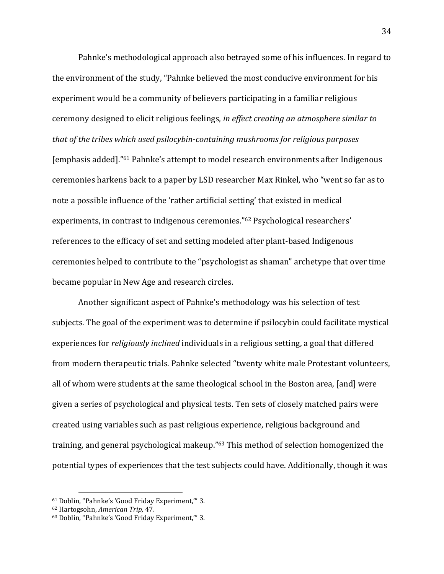Pahnke's methodological approach also betrayed some of his influences. In regard to the environment of the study, "Pahnke believed the most conducive environment for his experiment would be a community of believers participating in a familiar religious ceremony designed to elicit religious feelings, *in effect creating an atmosphere similar to that of the tribes which used psilocybin-containing mushrooms for religious purposes* [emphasis added]."<sup>61</sup> Pahnke's attempt to model research environments after Indigenous ceremonies harkens back to a paper by LSD researcher Max Rinkel, who "went so far as to note a possible influence of the 'rather artificial setting' that existed in medical experiments, in contrast to indigenous ceremonies."<sup>62</sup> Psychological researchers' references to the efficacy of set and setting modeled after plant-based Indigenous ceremonies helped to contribute to the "psychologist as shaman" archetype that over time became popular in New Age and research circles.

Another significant aspect of Pahnke's methodology was his selection of test subjects. The goal of the experiment was to determine if psilocybin could facilitate mystical experiences for *religiously inclined* individuals in a religious setting, a goal that differed from modern therapeutic trials. Pahnke selected "twenty white male Protestant volunteers, all of whom were students at the same theological school in the Boston area, [and] were given a series of psychological and physical tests. Ten sets of closely matched pairs were created using variables such as past religious experience, religious background and training, and general psychological makeup." <sup>63</sup> This method of selection homogenized the potential types of experiences that the test subjects could have. Additionally, though it was

<sup>61</sup> Doblin, "Pahnke's 'Good Friday Experiment,'" 3.

<sup>62</sup> Hartogsohn, *American Trip,* 47.

<sup>63</sup> Doblin, "Pahnke's 'Good Friday Experiment,'" 3.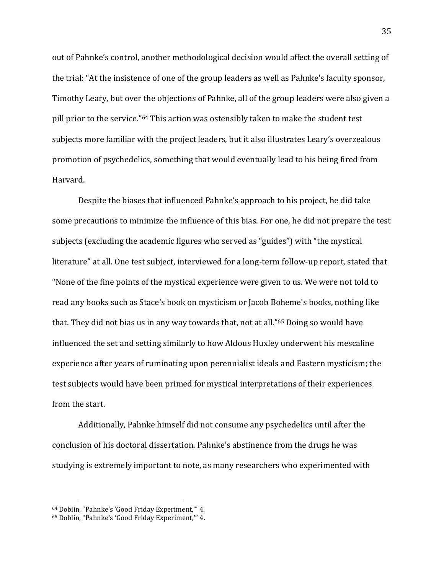out of Pahnke's control, another methodological decision would affect the overall setting of the trial: "At the insistence of one of the group leaders as well as Pahnke's faculty sponsor, Timothy Leary, but over the objections of Pahnke, all of the group leaders were also given a pill prior to the service."<sup>64</sup> This action was ostensibly taken to make the student test subjects more familiar with the project leaders, but it also illustrates Leary's overzealous promotion of psychedelics, something that would eventually lead to his being fired from Harvard.

Despite the biases that influenced Pahnke's approach to his project, he did take some precautions to minimize the influence of this bias. For one, he did not prepare the test subjects (excluding the academic figures who served as "guides") with "the mystical literature" at all. One test subject, interviewed for a long-term follow-up report, stated that "None of the fine points of the mystical experience were given to us. We were not told to read any books such as Stace's book on mysticism or Jacob Boheme's books, nothing like that. They did not bias us in any way towards that, not at all."<sup>65</sup> Doing so would have influenced the set and setting similarly to how Aldous Huxley underwent his mescaline experience after years of ruminating upon perennialist ideals and Eastern mysticism; the test subjects would have been primed for mystical interpretations of their experiences from the start.

Additionally, Pahnke himself did not consume any psychedelics until after the conclusion of his doctoral dissertation. Pahnke's abstinence from the drugs he was studying is extremely important to note, as many researchers who experimented with

<sup>64</sup> Doblin, "Pahnke's 'Good Friday Experiment,'" 4.

<sup>65</sup> Doblin, "Pahnke's 'Good Friday Experiment,'" 4.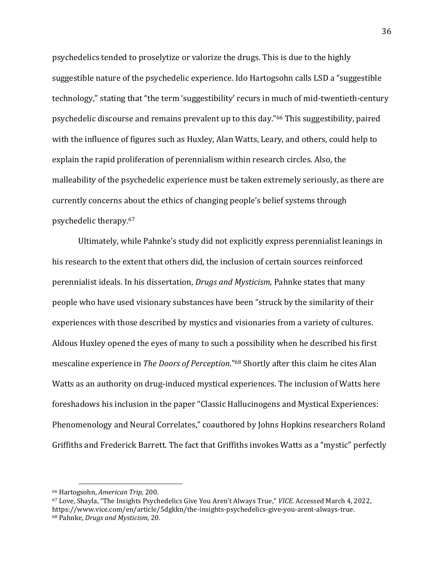psychedelics tended to proselytize or valorize the drugs. This is due to the highly suggestible nature of the psychedelic experience. Ido Hartogsohn calls LSD a "suggestible technology," stating that "the term 'suggestibility' recurs in much of mid-twentieth-century psychedelic discourse and remains prevalent up to this day."<sup>66</sup> This suggestibility, paired with the influence of figures such as Huxley, Alan Watts, Leary, and others, could help to explain the rapid proliferation of perennialism within research circles. Also, the malleability of the psychedelic experience must be taken extremely seriously, as there are currently concerns about the ethics of changing people's belief systems through psychedelic therapy.<sup>67</sup>

Ultimately, while Pahnke's study did not explicitly express perennialist leanings in his research to the extent that others did, the inclusion of certain sources reinforced perennialist ideals. In his dissertation, *Drugs and Mysticism,* Pahnke states that many people who have used visionary substances have been "struck by the similarity of their experiences with those described by mystics and visionaries from a variety of cultures. Aldous Huxley opened the eyes of many to such a possibility when he described his first mescaline experience in *The Doors of Perception*."<sup>68</sup> Shortly after this claim he cites Alan Watts as an authority on drug-induced mystical experiences. The inclusion of Watts here foreshadows his inclusion in the paper "Classic Hallucinogens and Mystical Experiences: Phenomenology and Neural Correlates," coauthored by Johns Hopkins researchers Roland Griffiths and Frederick Barrett. The fact that Griffiths invokes Watts as a "mystic" perfectly

<sup>66</sup> Hartogsohn, *American Trip,* 200.

<sup>67</sup> Love, Shayla, "The Insights Psychedelics Give You Aren't Always True," *VICE*. Accessed March 4, 2022, https://www.vice.com/en/article/5dgkkn/the-insights-psychedelics-give-you-arent-always-true. <sup>68</sup> Pahnke, *Drugs and Mysticism,* 20.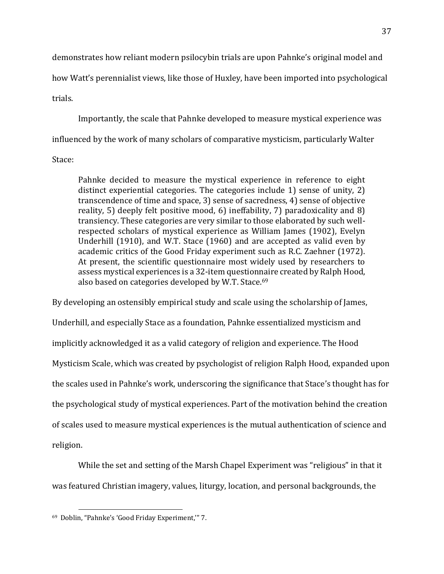demonstrates how reliant modern psilocybin trials are upon Pahnke's original model and

how Watt's perennialist views, like those of Huxley, have been imported into psychological trials.

Importantly, the scale that Pahnke developed to measure mystical experience was influenced by the work of many scholars of comparative mysticism, particularly Walter

Stace:

Pahnke decided to measure the mystical experience in reference to eight distinct experiential categories. The categories include 1) sense of unity, 2) transcendence of time and space, 3) sense of sacredness, 4) sense of objective reality, 5) deeply felt positive mood, 6) ineffability, 7) paradoxicality and 8) transiency. These categories are very similar to those elaborated by such wellrespected scholars of mystical experience as William James (1902), Evelyn Underhill (1910), and W.T. Stace (1960) and are accepted as valid even by academic critics of the Good Friday experiment such as R.C. Zaehner (1972). At present, the scientific questionnaire most widely used by researchers to assess mystical experiences is a 32-item questionnaire created by Ralph Hood, also based on categories developed by W.T. Stace. 69

By developing an ostensibly empirical study and scale using the scholarship of James, Underhill, and especially Stace as a foundation, Pahnke essentialized mysticism and implicitly acknowledged it as a valid category of religion and experience. The Hood Mysticism Scale, which was created by psychologist of religion Ralph Hood, expanded upon the scales used in Pahnke's work, underscoring the significance that Stace's thought has for the psychological study of mystical experiences. Part of the motivation behind the creation of scales used to measure mystical experiences is the mutual authentication of science and religion.

While the set and setting of the Marsh Chapel Experiment was "religious" in that it was featured Christian imagery, values, liturgy, location, and personal backgrounds, the

<sup>69</sup> Doblin, "Pahnke's 'Good Friday Experiment,'" 7.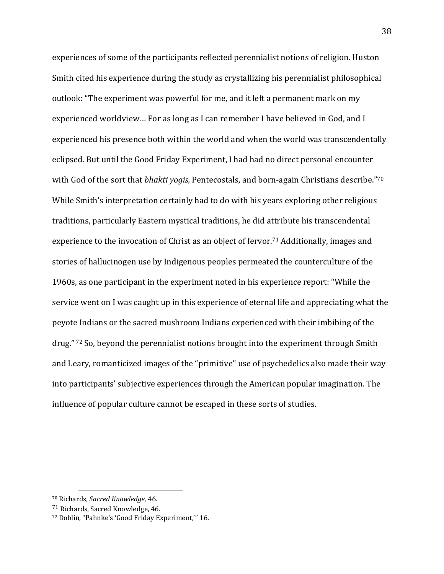experiences of some of the participants reflected perennialist notions of religion. Huston Smith cited his experience during the study as crystallizing his perennialist philosophical outlook: "The experiment was powerful for me, and it left a permanent mark on my experienced worldview… For as long as I can remember I have believed in God, and I experienced his presence both within the world and when the world was transcendentally eclipsed. But until the Good Friday Experiment, I had had no direct personal encounter with God of the sort that *bhakti yogis,* Pentecostals, and born-again Christians describe." 70 While Smith's interpretation certainly had to do with his years exploring other religious traditions, particularly Eastern mystical traditions, he did attribute his transcendental experience to the invocation of Christ as an object of fervor.<sup>71</sup> Additionally, images and stories of hallucinogen use by Indigenous peoples permeated the counterculture of the 1960s, as one participant in the experiment noted in his experience report: "While the service went on I was caught up in this experience of eternal life and appreciating what the peyote Indians or the sacred mushroom Indians experienced with their imbibing of the drug." <sup>72</sup> So, beyond the perennialist notions brought into the experiment through Smith and Leary, romanticized images of the "primitive" use of psychedelics also made their way into participants' subjective experiences through the American popular imagination. The influence of popular culture cannot be escaped in these sorts of studies.

<sup>70</sup> Richards, *Sacred Knowledge,* 46.

<sup>71</sup> Richards, Sacred Knowledge, 46.

<sup>72</sup> Doblin, "Pahnke's 'Good Friday Experiment,'" 16.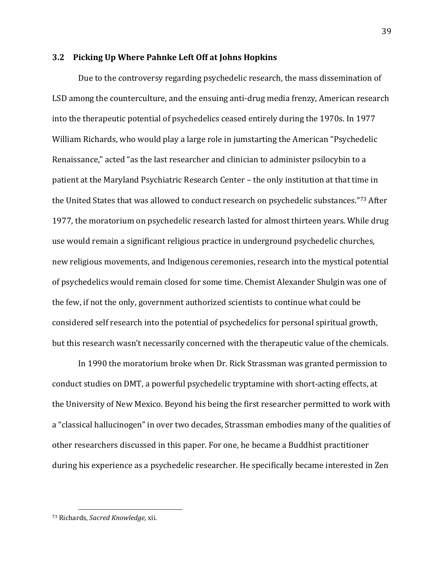#### <span id="page-47-0"></span>**3.2 Picking Up Where Pahnke Left Off at Johns Hopkins**

Due to the controversy regarding psychedelic research, the mass dissemination of LSD among the counterculture, and the ensuing anti-drug media frenzy, American research into the therapeutic potential of psychedelics ceased entirely during the 1970s. In 1977 William Richards, who would play a large role in jumstarting the American "Psychedelic Renaissance," acted "as the last researcher and clinician to administer psilocybin to a patient at the Maryland Psychiatric Research Center – the only institution at that time in the United States that was allowed to conduct research on psychedelic substances."<sup>73</sup> After 1977, the moratorium on psychedelic research lasted for almost thirteen years. While drug use would remain a significant religious practice in underground psychedelic churches, new religious movements, and Indigenous ceremonies, research into the mystical potential of psychedelics would remain closed for some time. Chemist Alexander Shulgin was one of the few, if not the only, government authorized scientists to continue what could be considered self research into the potential of psychedelics for personal spiritual growth, but this research wasn't necessarily concerned with the therapeutic value of the chemicals.

In 1990 the moratorium broke when Dr. Rick Strassman was granted permission to conduct studies on DMT, a powerful psychedelic tryptamine with short-acting effects, at the University of New Mexico. Beyond his being the first researcher permitted to work with a "classical hallucinogen" in over two decades, Strassman embodies many of the qualities of other researchers discussed in this paper. For one, he became a Buddhist practitioner during his experience as a psychedelic researcher. He specifically became interested in Zen

<sup>73</sup> Richards, *Sacred Knowledge,* xii.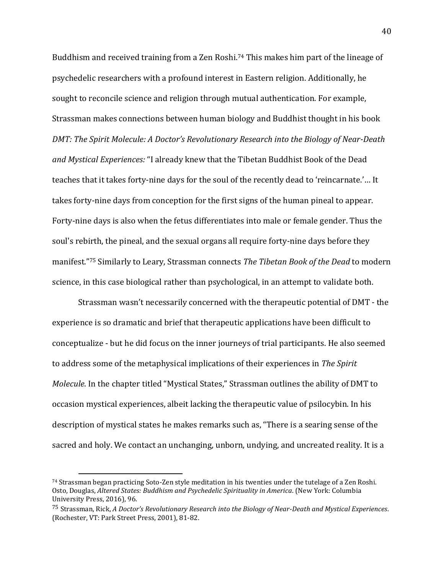Buddhism and received training from a Zen Roshi.<sup>74</sup> This makes him part of the lineage of psychedelic researchers with a profound interest in Eastern religion. Additionally, he sought to reconcile science and religion through mutual authentication. For example, Strassman makes connections between human biology and Buddhist thought in his book *DMT: The Spirit Molecule: A Doctor's Revolutionary Research into the Biology of Near-Death and Mystical Experiences:* "I already knew that the Tibetan Buddhist Book of the Dead teaches that it takes forty-nine days for the soul of the recently dead to 'reincarnate.'… It takes forty-nine days from conception for the first signs of the human pineal to appear. Forty-nine days is also when the fetus differentiates into male or female gender. Thus the soul's rebirth, the pineal, and the sexual organs all require forty-nine days before they manifest."<sup>75</sup> Similarly to Leary, Strassman connects *The Tibetan Book of the Dead* to modern science, in this case biological rather than psychological, in an attempt to validate both.

Strassman wasn't necessarily concerned with the therapeutic potential of DMT - the experience is so dramatic and brief that therapeutic applications have been difficult to conceptualize - but he did focus on the inner journeys of trial participants. He also seemed to address some of the metaphysical implications of their experiences in *The Spirit Molecule*. In the chapter titled "Mystical States," Strassman outlines the ability of DMT to occasion mystical experiences, albeit lacking the therapeutic value of psilocybin. In his description of mystical states he makes remarks such as, "There is a searing sense of the sacred and holy. We contact an unchanging, unborn, undying, and uncreated reality. It is a

 $74$  Strassman began practicing Soto-Zen style meditation in his twenties under the tutelage of a Zen Roshi. Osto, Douglas, *Altered States: Buddhism and Psychedelic Spirituality in America*. (New York: Columbia University Press, 2016), 96.

<sup>75</sup> Strassman, Rick, *A Doctor's Revolutionary Research into the Biology of Near-Death and Mystical Experiences*. (Rochester, VT: Park Street Press, 2001), 81-82.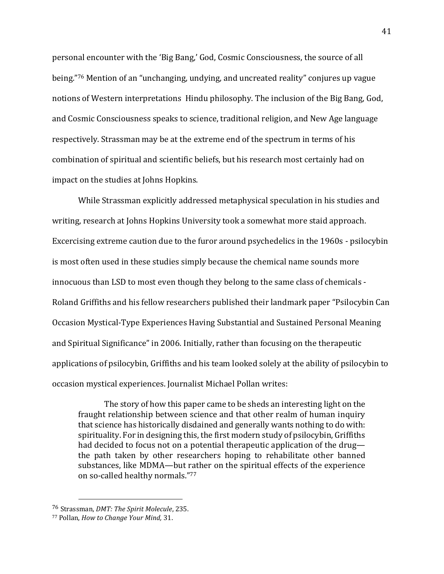personal encounter with the 'Big Bang,' God, Cosmic Consciousness, the source of all being."<sup>76</sup> Mention of an "unchanging, undying, and uncreated reality" conjures up vague notions of Western interpretations Hindu philosophy. The inclusion of the Big Bang, God, and Cosmic Consciousness speaks to science, traditional religion, and New Age language respectively. Strassman may be at the extreme end of the spectrum in terms of his combination of spiritual and scientific beliefs, but his research most certainly had on impact on the studies at Johns Hopkins.

While Strassman explicitly addressed metaphysical speculation in his studies and writing, research at Johns Hopkins University took a somewhat more staid approach. Excercising extreme caution due to the furor around psychedelics in the 1960s - psilocybin is most often used in these studies simply because the chemical name sounds more innocuous than LSD to most even though they belong to the same class of chemicals - Roland Griffiths and his fellow researchers published their landmark paper "Psilocybin Can Occasion Mystical-Type Experiences Having Substantial and Sustained Personal Meaning and Spiritual Significance" in 2006. Initially, rather than focusing on the therapeutic applications of psilocybin, Griffiths and his team looked solely at the ability of psilocybin to occasion mystical experiences. Journalist Michael Pollan writes:

The story of how this paper came to be sheds an interesting light on the fraught relationship between science and that other realm of human inquiry that science has historically disdained and generally wants nothing to do with: spirituality. For in designing this, the first modern study of psilocybin, Griffiths had decided to focus not on a potential therapeutic application of the drug the path taken by other researchers hoping to rehabilitate other banned substances, like MDMA—but rather on the spiritual effects of the experience on so-called healthy normals."<sup>77</sup>

<sup>76</sup> Strassman, *DMT: The Spirit Molecule*, 235.

<sup>77</sup> Pollan, *How to Change Your Mind,* 31.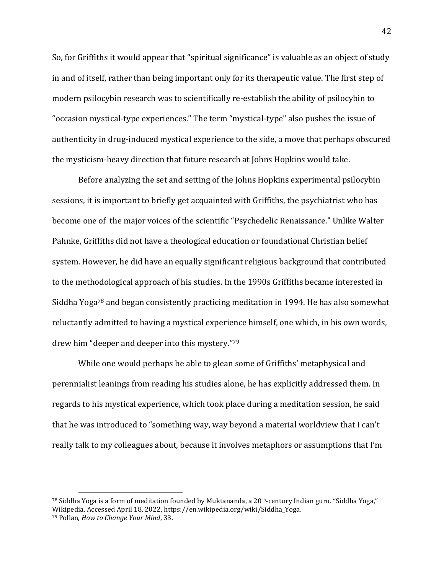So, for Griffiths it would appear that "spiritual significance" is valuable as an object of study in and of itself, rather than being important only for its therapeutic value. The first step of modern psilocybin research was to scientifically re-establish the ability of psilocybin to "occasion mystical-type experiences." The term "mystical-type" also pushes the issue of authenticity in drug-induced mystical experience to the side, a move that perhaps obscured the mysticism-heavy direction that future research at Johns Hopkins would take.

Before analyzing the set and setting of the Johns Hopkins experimental psilocybin sessions, it is important to briefly get acquainted with Griffiths, the psychiatrist who has become one of the major voices of the scientific "Psychedelic Renaissance." Unlike Walter Pahnke, Griffiths did not have a theological education or foundational Christian belief system. However, he did have an equally significant religious background that contributed to the methodological approach of his studies. In the 1990s Griffiths became interested in Siddha Yoga<sup>78</sup> and began consistently practicing meditation in 1994. He has also somewhat reluctantly admitted to having a mystical experience himself, one which, in his own words, drew him "deeper and deeper into this mystery."<sup>79</sup>

While one would perhaps be able to glean some of Griffiths' metaphysical and perennialist leanings from reading his studies alone, he has explicitly addressed them. In regards to his mystical experience, which took place during a meditation session, he said that he was introduced to "something way, way beyond a material worldview that I can't really talk to my colleagues about, because it involves metaphors or assumptions that I'm

<sup>&</sup>lt;sup>78</sup> Siddha Yoga is a form of meditation founded by Muktananda, a  $20<sup>th</sup>$ -century Indian guru. "Siddha Yoga," Wikipedia. Accessed April 18, 2022, https://en.wikipedia.org/wiki/Siddha\_Yoga. <sup>79</sup> Pollan, *How to Change Your Mind*, 33.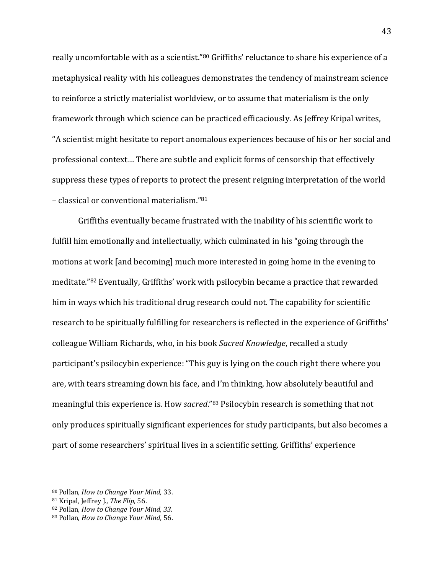really uncomfortable with as a scientist."<sup>80</sup> Griffiths' reluctance to share his experience of a metaphysical reality with his colleagues demonstrates the tendency of mainstream science to reinforce a strictly materialist worldview, or to assume that materialism is the only framework through which science can be practiced efficaciously. As Jeffrey Kripal writes, "A scientist might hesitate to report anomalous experiences because of his or her social and professional context… There are subtle and explicit forms of censorship that effectively suppress these types of reports to protect the present reigning interpretation of the world – classical or conventional materialism."<sup>81</sup>

Griffiths eventually became frustrated with the inability of his scientific work to fulfill him emotionally and intellectually, which culminated in his "going through the motions at work [and becoming] much more interested in going home in the evening to meditate."<sup>82</sup> Eventually, Griffiths' work with psilocybin became a practice that rewarded him in ways which his traditional drug research could not. The capability for scientific research to be spiritually fulfilling for researchers is reflected in the experience of Griffiths' colleague William Richards, who, in his book *Sacred Knowledge*, recalled a study participant's psilocybin experience: "This guy is lying on the couch right there where you are, with tears streaming down his face, and I'm thinking, how absolutely beautiful and meaningful this experience is. How *sacred*."<sup>83</sup> Psilocybin research is something that not only produces spiritually significant experiences for study participants, but also becomes a part of some researchers' spiritual lives in a scientific setting. Griffiths' experience

<sup>80</sup> Pollan, *How to Change Your Mind,* 33.

<sup>81</sup> Kripal, Jeffrey J., *The Flip*, 56.

<sup>82</sup> Pollan, *How to Change Your Mind, 33.*

<sup>83</sup> Pollan, *How to Change Your Mind,* 56.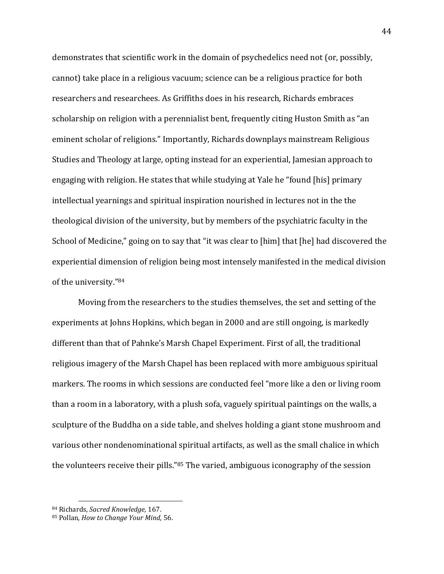demonstrates that scientific work in the domain of psychedelics need not (or, possibly, cannot) take place in a religious vacuum; science can be a religious practice for both researchers and researchees. As Griffiths does in his research, Richards embraces scholarship on religion with a perennialist bent, frequently citing Huston Smith as "an eminent scholar of religions." Importantly, Richards downplays mainstream Religious Studies and Theology at large, opting instead for an experiential, Jamesian approach to engaging with religion. He states that while studying at Yale he "found [his] primary intellectual yearnings and spiritual inspiration nourished in lectures not in the the theological division of the university, but by members of the psychiatric faculty in the School of Medicine," going on to say that "it was clear to [him] that [he] had discovered the experiential dimension of religion being most intensely manifested in the medical division of the university."<sup>84</sup>

Moving from the researchers to the studies themselves, the set and setting of the experiments at Johns Hopkins, which began in 2000 and are still ongoing, is markedly different than that of Pahnke's Marsh Chapel Experiment. First of all, the traditional religious imagery of the Marsh Chapel has been replaced with more ambiguous spiritual markers. The rooms in which sessions are conducted feel "more like a den or living room than a room in a laboratory, with a plush sofa, vaguely spiritual paintings on the walls, a sculpture of the Buddha on a side table, and shelves holding a giant stone mushroom and various other nondenominational spiritual artifacts, as well as the small chalice in which the volunteers receive their pills."<sup>85</sup> The varied, ambiguous iconography of the session

<sup>84</sup> Richards, *Sacred Knowledge,* 167.

<sup>85</sup> Pollan, *How to Change Your Mind,* 56.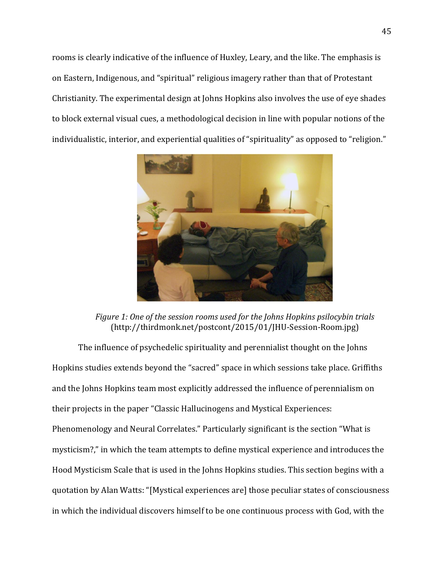rooms is clearly indicative of the influence of Huxley, Leary, and the like. The emphasis is on Eastern, Indigenous, and "spiritual" religious imagery rather than that of Protestant Christianity. The experimental design at Johns Hopkins also involves the use of eye shades to block external visual cues, a methodological decision in line with popular notions of the individualistic, interior, and experiential qualities of "spirituality" as opposed to "religion."



*Figure 1: One of the session rooms used for the Johns Hopkins psilocybin trials* (http://thirdmonk.net/postcont/2015/01/JHU-Session-Room.jpg)

<span id="page-53-0"></span>The influence of psychedelic spirituality and perennialist thought on the Johns Hopkins studies extends beyond the "sacred" space in which sessions take place. Griffiths and the Johns Hopkins team most explicitly addressed the influence of perennialism on their projects in the paper "Classic Hallucinogens and Mystical Experiences: Phenomenology and Neural Correlates." Particularly significant is the section "What is mysticism?," in which the team attempts to define mystical experience and introduces the Hood Mysticism Scale that is used in the Johns Hopkins studies. This section begins with a quotation by Alan Watts: "[Mystical experiences are] those peculiar states of consciousness in which the individual discovers himself to be one continuous process with God, with the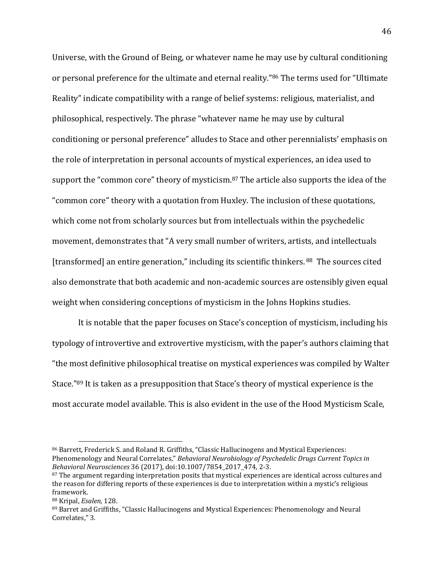Universe, with the Ground of Being, or whatever name he may use by cultural conditioning or personal preference for the ultimate and eternal reality."<sup>86</sup> The terms used for "Ultimate Reality" indicate compatibility with a range of belief systems: religious, materialist, and philosophical, respectively. The phrase "whatever name he may use by cultural conditioning or personal preference" alludes to Stace and other perennialists' emphasis on the role of interpretation in personal accounts of mystical experiences, an idea used to support the "common core" theory of mysticism.<sup>87</sup> The article also supports the idea of the "common core" theory with a quotation from Huxley. The inclusion of these quotations, which come not from scholarly sources but from intellectuals within the psychedelic movement, demonstrates that "A very small number of writers, artists, and intellectuals [transformed] an entire generation," including its scientific thinkers. <sup>88</sup> The sources cited also demonstrate that both academic and non-academic sources are ostensibly given equal weight when considering conceptions of mysticism in the Johns Hopkins studies.

It is notable that the paper focuses on Stace's conception of mysticism, including his typology of introvertive and extrovertive mysticism, with the paper's authors claiming that "the most definitive philosophical treatise on mystical experiences was compiled by Walter Stace."<sup>89</sup> It is taken as a presupposition that Stace's theory of mystical experience is the most accurate model available. This is also evident in the use of the Hood Mysticism Scale,

<sup>86</sup> Barrett, Frederick S. and Roland R. Griffiths, "Classic Hallucinogens and Mystical Experiences: Phenomenology and Neural Correlates," *Behavioral Neurobiology of Psychedelic Drugs Current Topics in Behavioral Neurosciences* 36 (2017), doi:10.1007/7854\_2017\_474, 2-3.

<sup>&</sup>lt;sup>87</sup> The argument regarding interpretation posits that mystical experiences are identical across cultures and the reason for differing reports of these experiences is due to interpretation within a mystic's religious framework.

<sup>88</sup> Kripal, *Esalen,* 128.

<sup>89</sup> Barret and Griffiths, "Classic Hallucinogens and Mystical Experiences: Phenomenology and Neural Correlates," 3.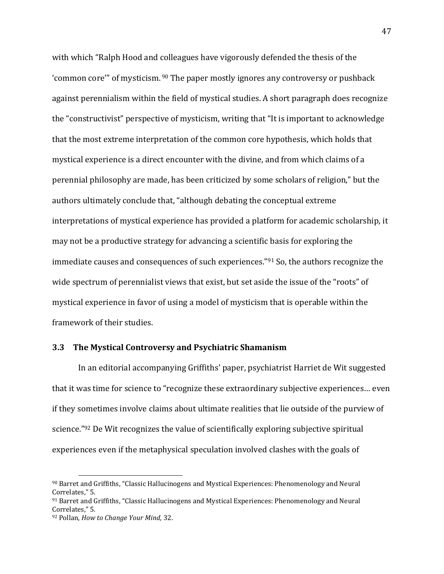with which "Ralph Hood and colleagues have vigorously defended the thesis of the 'common core'" of mysticism. <sup>90</sup> The paper mostly ignores any controversy or pushback against perennialism within the field of mystical studies. A short paragraph does recognize the "constructivist" perspective of mysticism, writing that "It is important to acknowledge that the most extreme interpretation of the common core hypothesis, which holds that mystical experience is a direct encounter with the divine, and from which claims of a perennial philosophy are made, has been criticized by some scholars of religion," but the authors ultimately conclude that, "although debating the conceptual extreme interpretations of mystical experience has provided a platform for academic scholarship, it may not be a productive strategy for advancing a scientific basis for exploring the immediate causes and consequences of such experiences."<sup>91</sup> So, the authors recognize the wide spectrum of perennialist views that exist, but set aside the issue of the "roots" of mystical experience in favor of using a model of mysticism that is operable within the framework of their studies.

#### <span id="page-55-0"></span>**3.3 The Mystical Controversy and Psychiatric Shamanism**

In an editorial accompanying Griffiths' paper, psychiatrist Harriet de Wit suggested that it was time for science to "recognize these extraordinary subjective experiences… even if they sometimes involve claims about ultimate realities that lie outside of the purview of science."<sup>92</sup> De Wit recognizes the value of scientifically exploring subjective spiritual experiences even if the metaphysical speculation involved clashes with the goals of

<sup>90</sup> Barret and Griffiths, "Classic Hallucinogens and Mystical Experiences: Phenomenology and Neural Correlates," 5.

<sup>91</sup> Barret and Griffiths, "Classic Hallucinogens and Mystical Experiences: Phenomenology and Neural Correlates," 5.

<sup>92</sup> Pollan, *How to Change Your Mind,* 32.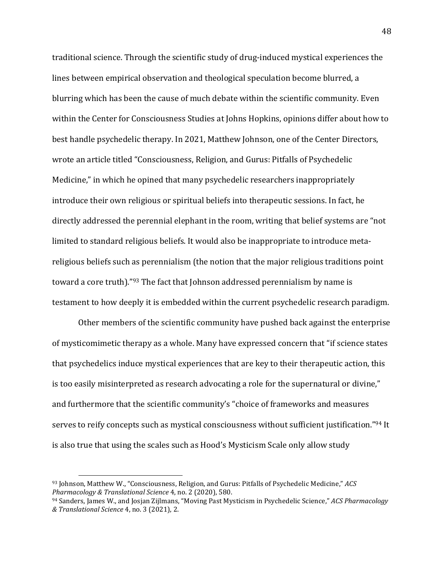traditional science. Through the scientific study of drug-induced mystical experiences the lines between empirical observation and theological speculation become blurred, a blurring which has been the cause of much debate within the scientific community. Even within the Center for Consciousness Studies at Johns Hopkins, opinions differ about how to best handle psychedelic therapy. In 2021, Matthew Johnson, one of the Center Directors, wrote an article titled "Consciousness, Religion, and Gurus: Pitfalls of Psychedelic Medicine," in which he opined that many psychedelic researchers inappropriately introduce their own religious or spiritual beliefs into therapeutic sessions. In fact, he directly addressed the perennial elephant in the room, writing that belief systems are "not limited to standard religious beliefs. It would also be inappropriate to introduce metareligious beliefs such as perennialism (the notion that the major religious traditions point toward a core truth)."<sup>93</sup> The fact that Johnson addressed perennialism by name is testament to how deeply it is embedded within the current psychedelic research paradigm.

Other members of the scientific community have pushed back against the enterprise of mysticomimetic therapy as a whole. Many have expressed concern that "if science states that psychedelics induce mystical experiences that are key to their therapeutic action, this is too easily misinterpreted as research advocating a role for the supernatural or divine," and furthermore that the scientific community's "choice of frameworks and measures serves to reify concepts such as mystical consciousness without sufficient justification."<sup>94</sup> It is also true that using the scales such as Hood's Mysticism Scale only allow study

<sup>93</sup> Johnson, Matthew W., "Consciousness, Religion, and Gurus: Pitfalls of Psychedelic Medicine," *ACS Pharmacology & Translational Science* 4, no. 2 (2020), 580.

<sup>94</sup> Sanders, James W., and Josjan Zijlmans, "Moving Past Mysticism in Psychedelic Science," *ACS Pharmacology & Translational Science* 4, no. 3 (2021), 2.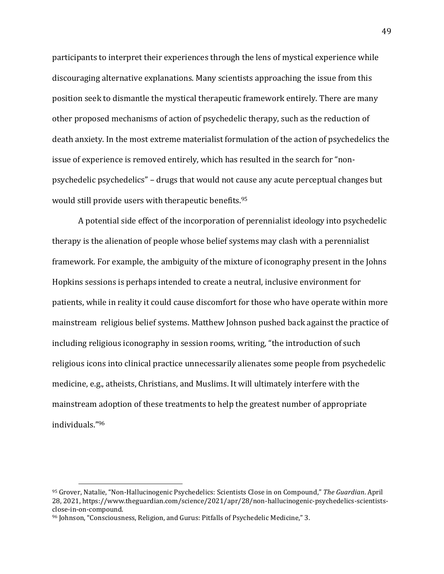participants to interpret their experiences through the lens of mystical experience while discouraging alternative explanations. Many scientists approaching the issue from this position seek to dismantle the mystical therapeutic framework entirely. There are many other proposed mechanisms of action of psychedelic therapy, such as the reduction of death anxiety. In the most extreme materialist formulation of the action of psychedelics the issue of experience is removed entirely, which has resulted in the search for "nonpsychedelic psychedelics" – drugs that would not cause any acute perceptual changes but would still provide users with therapeutic benefits.<sup>95</sup>

A potential side effect of the incorporation of perennialist ideology into psychedelic therapy is the alienation of people whose belief systems may clash with a perennialist framework. For example, the ambiguity of the mixture of iconography present in the Johns Hopkins sessions is perhaps intended to create a neutral, inclusive environment for patients, while in reality it could cause discomfort for those who have operate within more mainstream religious belief systems. Matthew Johnson pushed back against the practice of including religious iconography in session rooms, writing, "the introduction of such religious icons into clinical practice unnecessarily alienates some people from psychedelic medicine, e.g., atheists, Christians, and Muslims. It will ultimately interfere with the mainstream adoption of these treatments to help the greatest number of appropriate individuals."<sup>96</sup>

<sup>95</sup> Grover, Natalie, "Non-Hallucinogenic Psychedelics: Scientists Close in on Compound," *The Guardian*. April 28, 2021, https://www.theguardian.com/science/2021/apr/28/non-hallucinogenic-psychedelics-scientistsclose-in-on-compound.

<sup>96</sup> Johnson, "Consciousness, Religion, and Gurus: Pitfalls of Psychedelic Medicine," 3.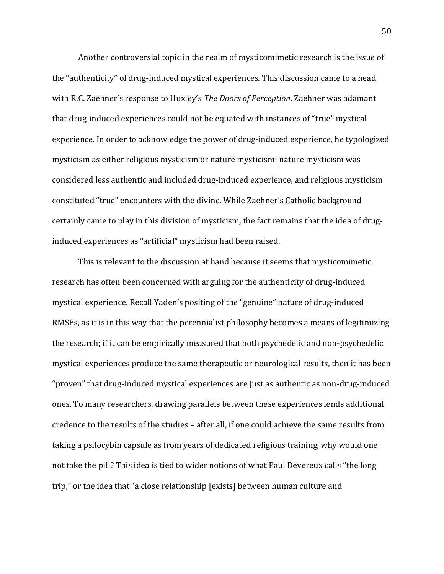Another controversial topic in the realm of mysticomimetic research is the issue of the "authenticity" of drug-induced mystical experiences. This discussion came to a head with R.C. Zaehner's response to Huxley's *The Doors of Perception*. Zaehner was adamant that drug-induced experiences could not be equated with instances of "true" mystical experience. In order to acknowledge the power of drug-induced experience, he typologized mysticism as either religious mysticism or nature mysticism: nature mysticism was considered less authentic and included drug-induced experience, and religious mysticism constituted "true" encounters with the divine. While Zaehner's Catholic background certainly came to play in this division of mysticism, the fact remains that the idea of druginduced experiences as "artificial" mysticism had been raised.

This is relevant to the discussion at hand because it seems that mysticomimetic research has often been concerned with arguing for the authenticity of drug-induced mystical experience. Recall Yaden's positing of the "genuine" nature of drug-induced RMSEs, as it is in this way that the perennialist philosophy becomes a means of legitimizing the research; if it can be empirically measured that both psychedelic and non-psychedelic mystical experiences produce the same therapeutic or neurological results, then it has been "proven" that drug-induced mystical experiences are just as authentic as non-drug-induced ones. To many researchers, drawing parallels between these experiences lends additional credence to the results of the studies – after all, if one could achieve the same results from taking a psilocybin capsule as from years of dedicated religious training, why would one not take the pill? This idea is tied to wider notions of what Paul Devereux calls "the long trip," or the idea that "a close relationship [exists] between human culture and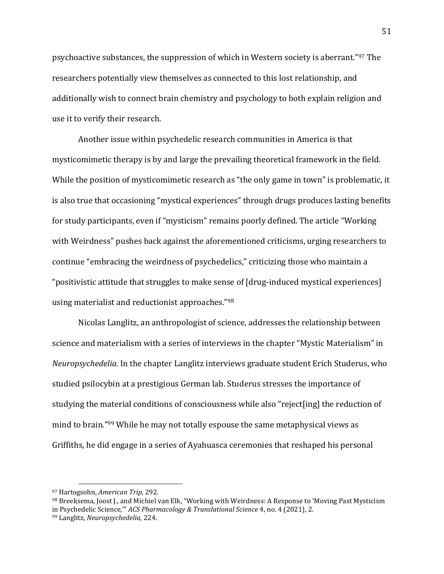psychoactive substances, the suppression of which in Western society is aberrant."<sup>97</sup> The researchers potentially view themselves as connected to this lost relationship, and additionally wish to connect brain chemistry and psychology to both explain religion and use it to verify their research.

Another issue within psychedelic research communities in America is that mysticomimetic therapy is by and large the prevailing theoretical framework in the field. While the position of mysticomimetic research as "the only game in town" is problematic, it is also true that occasioning "mystical experiences" through drugs produces lasting benefits for study participants, even if "mysticism" remains poorly defined. The article "Working with Weirdness" pushes back against the aforementioned criticisms, urging researchers to continue "embracing the weirdness of psychedelics," criticizing those who maintain a "positivistic attitude that struggles to make sense of [drug-induced mystical experiences] using materialist and reductionist approaches."<sup>98</sup>

Nicolas Langlitz, an anthropologist of science, addresses the relationship between science and materialism with a series of interviews in the chapter "Mystic Materialism" in *Neuropsychedelia.* In the chapter Langlitz interviews graduate student Erich Studerus, who studied psilocybin at a prestigious German lab. Studerus stresses the importance of studying the material conditions of consciousness while also "reject[ing] the reduction of mind to brain."<sup>99</sup> While he may not totally espouse the same metaphysical views as Griffiths, he did engage in a series of Ayahuasca ceremonies that reshaped his personal

<sup>97</sup> Hartogsohn, *American Trip,* 292.

<sup>98</sup> Breeksema, Joost J., and Michiel van Elk, "Working with Weirdness: A Response to 'Moving Past Mysticism in Psychedelic Science,'" *ACS Pharmacology & Translational Science* 4, no. 4 (2021), 2.

<sup>99</sup> Langlitz, *Neuropsychedelia,* 224.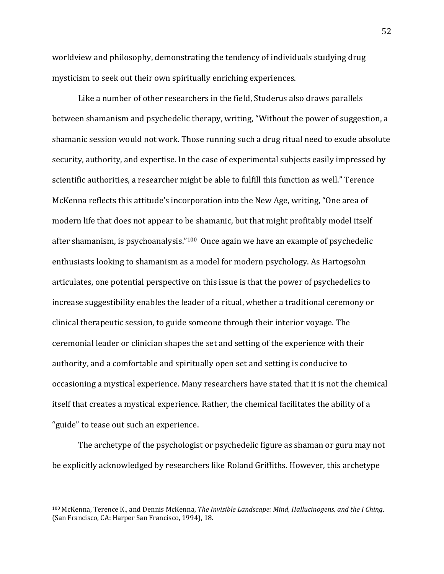worldview and philosophy, demonstrating the tendency of individuals studying drug mysticism to seek out their own spiritually enriching experiences.

Like a number of other researchers in the field, Studerus also draws parallels between shamanism and psychedelic therapy, writing, "Without the power of suggestion, a shamanic session would not work. Those running such a drug ritual need to exude absolute security, authority, and expertise. In the case of experimental subjects easily impressed by scientific authorities, a researcher might be able to fulfill this function as well." Terence McKenna reflects this attitude's incorporation into the New Age, writing, "One area of modern life that does not appear to be shamanic, but that might profitably model itself after shamanism, is psychoanalysis."100 Once again we have an example of psychedelic enthusiasts looking to shamanism as a model for modern psychology. As Hartogsohn articulates, one potential perspective on this issue is that the power of psychedelics to increase suggestibility enables the leader of a ritual, whether a traditional ceremony or clinical therapeutic session, to guide someone through their interior voyage. The ceremonial leader or clinician shapes the set and setting of the experience with their authority, and a comfortable and spiritually open set and setting is conducive to occasioning a mystical experience. Many researchers have stated that it is not the chemical itself that creates a mystical experience. Rather, the chemical facilitates the ability of a "guide" to tease out such an experience.

The archetype of the psychologist or psychedelic figure as shaman or guru may not be explicitly acknowledged by researchers like Roland Griffiths. However, this archetype

52

<sup>100</sup> McKenna, Terence K., and Dennis McKenna, *The Invisible Landscape: Mind, Hallucinogens, and the I Ching*. (San Francisco, CA: Harper San Francisco, 1994), 18.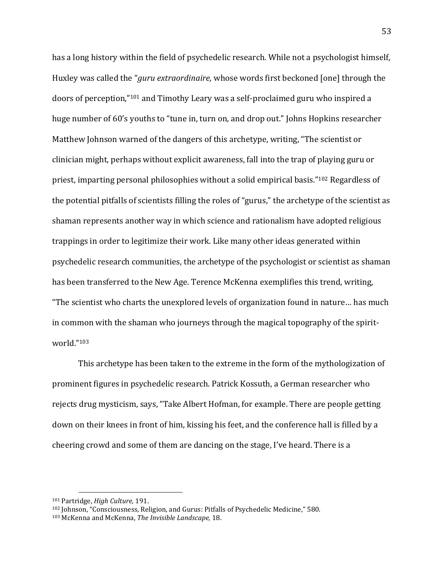has a long history within the field of psychedelic research. While not a psychologist himself, Huxley was called the "*guru extraordinaire,* whose words first beckoned [one] through the doors of perception,"<sup>101</sup> and Timothy Leary was a self-proclaimed guru who inspired a huge number of 60's youths to "tune in, turn on, and drop out." Johns Hopkins researcher Matthew Johnson warned of the dangers of this archetype, writing, "The scientist or clinician might, perhaps without explicit awareness, fall into the trap of playing guru or priest, imparting personal philosophies without a solid empirical basis."<sup>102</sup> Regardless of the potential pitfalls of scientists filling the roles of "gurus," the archetype of the scientist as shaman represents another way in which science and rationalism have adopted religious trappings in order to legitimize their work. Like many other ideas generated within psychedelic research communities, the archetype of the psychologist or scientist as shaman has been transferred to the New Age. Terence McKenna exemplifies this trend, writing, "The scientist who charts the unexplored levels of organization found in nature… has much in common with the shaman who journeys through the magical topography of the spiritworld."<sup>103</sup>

This archetype has been taken to the extreme in the form of the mythologization of prominent figures in psychedelic research. Patrick Kossuth, a German researcher who rejects drug mysticism, says, "Take Albert Hofman, for example. There are people getting down on their knees in front of him, kissing his feet, and the conference hall is filled by a cheering crowd and some of them are dancing on the stage, I've heard. There is a

<sup>101</sup> Partridge, *High Culture,* 191.

<sup>102</sup> Johnson, "Consciousness, Religion, and Gurus: Pitfalls of Psychedelic Medicine," 580.

<sup>103</sup> McKenna and McKenna, *The Invisible Landscape,* 18.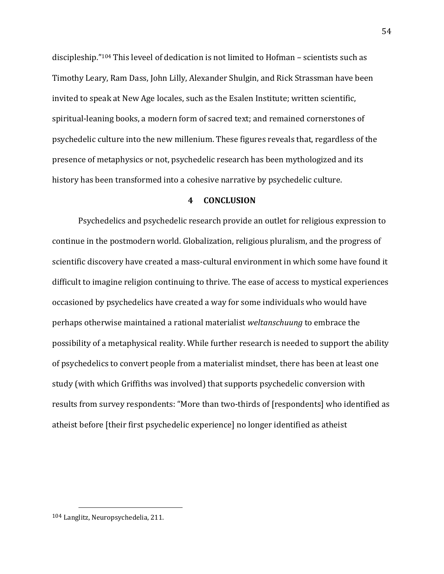discipleship." <sup>104</sup> This leveel of dedication is not limited to Hofman – scientists such as Timothy Leary, Ram Dass, John Lilly, Alexander Shulgin, and Rick Strassman have been invited to speak at New Age locales, such as the Esalen Institute; written scientific, spiritual-leaning books, a modern form of sacred text; and remained cornerstones of psychedelic culture into the new millenium. These figures reveals that, regardless of the presence of metaphysics or not, psychedelic research has been mythologized and its history has been transformed into a cohesive narrative by psychedelic culture.

#### **4 CONCLUSION**

<span id="page-62-0"></span>Psychedelics and psychedelic research provide an outlet for religious expression to continue in the postmodern world. Globalization, religious pluralism, and the progress of scientific discovery have created a mass-cultural environment in which some have found it difficult to imagine religion continuing to thrive. The ease of access to mystical experiences occasioned by psychedelics have created a way for some individuals who would have perhaps otherwise maintained a rational materialist *weltanschuung* to embrace the possibility of a metaphysical reality. While further research is needed to support the ability of psychedelics to convert people from a materialist mindset, there has been at least one study (with which Griffiths was involved) that supports psychedelic conversion with results from survey respondents: "More than two-thirds of [respondents] who identified as atheist before [their first psychedelic experience] no longer identified as atheist

<sup>104</sup> Langlitz, Neuropsychedelia, 211.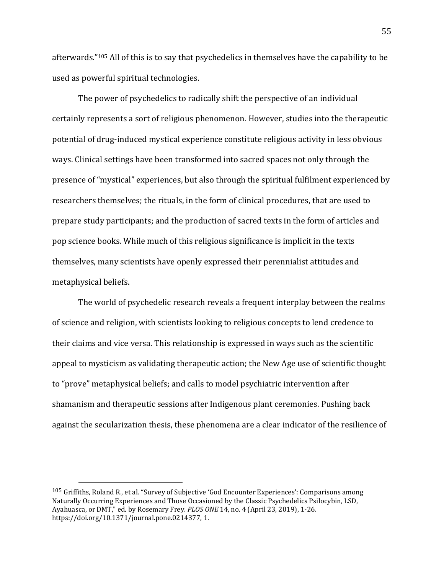afterwards." <sup>105</sup> All of this is to say that psychedelics in themselves have the capability to be used as powerful spiritual technologies.

The power of psychedelics to radically shift the perspective of an individual certainly represents a sort of religious phenomenon. However, studies into the therapeutic potential of drug-induced mystical experience constitute religious activity in less obvious ways. Clinical settings have been transformed into sacred spaces not only through the presence of "mystical" experiences, but also through the spiritual fulfilment experienced by researchers themselves; the rituals, in the form of clinical procedures, that are used to prepare study participants; and the production of sacred texts in the form of articles and pop science books. While much of this religious significance is implicit in the texts themselves, many scientists have openly expressed their perennialist attitudes and metaphysical beliefs.

The world of psychedelic research reveals a frequent interplay between the realms of science and religion, with scientists looking to religious concepts to lend credence to their claims and vice versa. This relationship is expressed in ways such as the scientific appeal to mysticism as validating therapeutic action; the New Age use of scientific thought to "prove" metaphysical beliefs; and calls to model psychiatric intervention after shamanism and therapeutic sessions after Indigenous plant ceremonies. Pushing back against the secularization thesis, these phenomena are a clear indicator of the resilience of

<sup>105</sup> Griffiths, Roland R., et al. "Survey of Subjective 'God Encounter Experiences': Comparisons among Naturally Occurring Experiences and Those Occasioned by the Classic Psychedelics Psilocybin, LSD, Ayahuasca, or DMT," ed. by Rosemary Frey. *PLOS ONE* 14, no. 4 (April 23, 2019), 1-26. https://doi.org/10.1371/journal.pone.0214377, 1.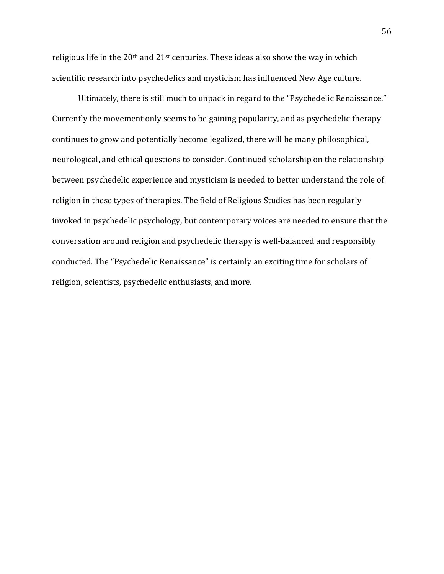religious life in the  $20<sup>th</sup>$  and  $21<sup>st</sup>$  centuries. These ideas also show the way in which scientific research into psychedelics and mysticism has influenced New Age culture.

Ultimately, there is still much to unpack in regard to the "Psychedelic Renaissance." Currently the movement only seems to be gaining popularity, and as psychedelic therapy continues to grow and potentially become legalized, there will be many philosophical, neurological, and ethical questions to consider. Continued scholarship on the relationship between psychedelic experience and mysticism is needed to better understand the role of religion in these types of therapies. The field of Religious Studies has been regularly invoked in psychedelic psychology, but contemporary voices are needed to ensure that the conversation around religion and psychedelic therapy is well-balanced and responsibly conducted. The "Psychedelic Renaissance" is certainly an exciting time for scholars of religion, scientists, psychedelic enthusiasts, and more.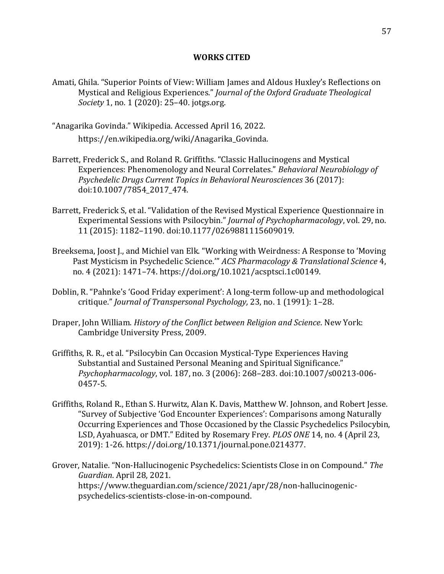#### **WORKS CITED**

<span id="page-65-0"></span>Amati, Ghila. "Superior Points of View: William James and Aldous Huxley's Reflections on Mystical and Religious Experiences." *Journal of the Oxford Graduate Theological Society* 1, no. 1 (2020): 25–40. jotgs.org.

"Anagarika Govinda." Wikipedia. Accessed April 16, 2022. https://en.wikipedia.org/wiki/Anagarika\_Govinda.

- Barrett, Frederick S., and Roland R. Griffiths. "Classic Hallucinogens and Mystical Experiences: Phenomenology and Neural Correlates." *Behavioral Neurobiology of Psychedelic Drugs Current Topics in Behavioral Neurosciences* 36 (2017): doi:10.1007/7854\_2017\_474.
- Barrett, Frederick S, et al. "Validation of the Revised Mystical Experience Questionnaire in Experimental Sessions with Psilocybin." *Journal of Psychopharmacology*, vol. 29, no. 11 (2015): 1182–1190. doi:10.1177/0269881115609019.
- Breeksema, Joost J., and Michiel van Elk. "Working with Weirdness: A Response to 'Moving Past Mysticism in Psychedelic Science.'" *ACS Pharmacology & Translational Science* 4, no. 4 (2021): 1471–74. https://doi.org/10.1021/acsptsci.1c00149.
- Doblin, R. "Pahnke's 'Good Friday experiment': A long-term follow-up and methodological critique." *Journal of Transpersonal Psychology,* 23, no. 1 (1991): 1–28.
- Draper, John William. *History of the Conflict between Religion and Science*. New York: Cambridge University Press, 2009.
- Griffiths, R. R., et al. "Psilocybin Can Occasion Mystical-Type Experiences Having Substantial and Sustained Personal Meaning and Spiritual Significance." *Psychopharmacology*, vol. 187, no. 3 (2006): 268–283. doi:10.1007/s00213-006- 0457-5.
- Griffiths, Roland R., Ethan S. Hurwitz, Alan K. Davis, Matthew W. Johnson, and Robert Jesse. "Survey of Subjective 'God Encounter Experiences': Comparisons among Naturally Occurring Experiences and Those Occasioned by the Classic Psychedelics Psilocybin, LSD, Ayahuasca, or DMT." Edited by Rosemary Frey. *PLOS ONE* 14, no. 4 (April 23, 2019): 1-26. https://doi.org/10.1371/journal.pone.0214377.

Grover, Natalie. "Non-Hallucinogenic Psychedelics: Scientists Close in on Compound." *The Guardian*. April 28, 2021. https://www.theguardian.com/science/2021/apr/28/non-hallucinogenicpsychedelics-scientists-close-in-on-compound.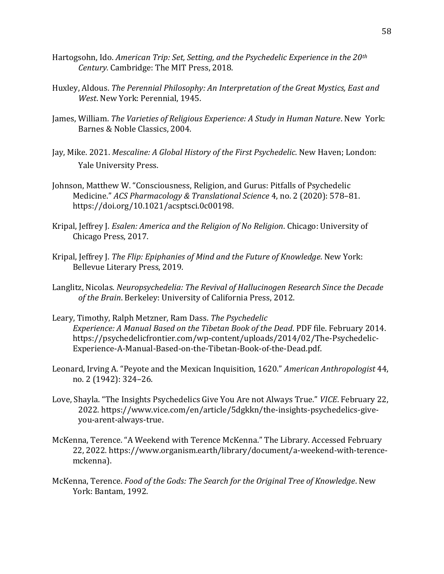- Hartogsohn, Ido. *American Trip: Set, Setting, and the Psychedelic Experience in the 20th Century.* Cambridge: The MIT Press, 2018.
- Huxley, Aldous. *The Perennial Philosophy: An Interpretation of the Great Mystics, East and West*. New York: Perennial, 1945.
- James, William. *The Varieties of Religious Experience: A Study in Human Nature*. New York: Barnes & Noble Classics, 2004.
- Jay, Mike. 2021. *Mescaline: A Global History of the First Psychedelic*. New Haven; London: Yale University Press.
- Johnson, Matthew W. "Consciousness, Religion, and Gurus: Pitfalls of Psychedelic Medicine." *ACS Pharmacology & Translational Science* 4, no. 2 (2020): 578–81. https://doi.org/10.1021/acsptsci.0c00198.
- Kripal, Jeffrey J. *Esalen: America and the Religion of No Religion*. Chicago: University of Chicago Press, 2017.
- Kripal, Jeffrey J. *The Flip: Epiphanies of Mind and the Future of Knowledge*. New York: Bellevue Literary Press, 2019.
- Langlitz, Nicolas. *Neuropsychedelia: The Revival of Hallucinogen Research Since the Decade of the Brain*. Berkeley: University of California Press, 2012.
- Leary, Timothy, Ralph Metzner, Ram Dass. *The Psychedelic Experience: A Manual Based on the Tibetan Book of the Dead*. PDF file. February 2014. https://psychedelicfrontier.com/wp-content/uploads/2014/02/The-Psychedelic-Experience-A-Manual-Based-on-the-Tibetan-Book-of-the-Dead.pdf.
- Leonard, Irving A. "Peyote and the Mexican Inquisition, 1620." *American Anthropologist* 44, no. 2 (1942): 324–26.
- Love, Shayla. "The Insights Psychedelics Give You Are not Always True." *VICE*. February 22, 2022. https://www.vice.com/en/article/5dgkkn/the-insights-psychedelics-giveyou-arent-always-true.
- McKenna, Terence. "A Weekend with Terence McKenna." The Library. Accessed February 22, 2022. https://www.organism.earth/library/document/a-weekend-with-terencemckenna).
- McKenna, Terence. *Food of the Gods: The Search for the Original Tree of Knowledge*. New York: Bantam, 1992.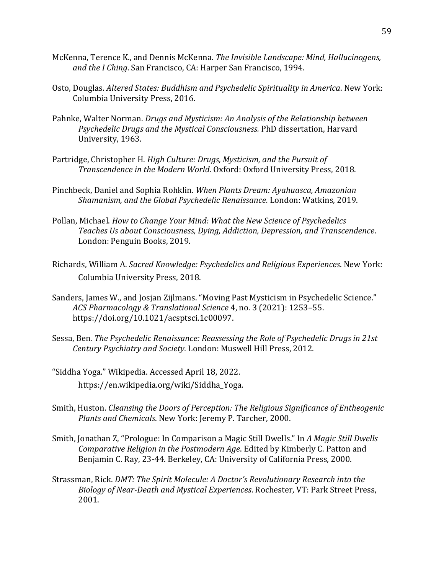- McKenna, Terence K., and Dennis McKenna. *The Invisible Landscape: Mind, Hallucinogens, and the I Ching*. San Francisco, CA: Harper San Francisco, 1994.
- Osto, Douglas. *Altered States: Buddhism and Psychedelic Spirituality in America*. New York: Columbia University Press, 2016.
- Pahnke, Walter Norman. *Drugs and Mysticism: An Analysis of the Relationship between Psychedelic Drugs and the Mystical Consciousness.* PhD dissertation, Harvard University, 1963.
- Partridge, Christopher H. *High Culture: Drugs, Mysticism, and the Pursuit of Transcendence in the Modern World*. Oxford: Oxford University Press, 2018.
- Pinchbeck, Daniel and Sophia Rohklin. *When Plants Dream: Ayahuasca, Amazonian Shamanism, and the Global Psychedelic Renaissance.* London: Watkins, 2019.
- Pollan, Michael. *How to Change Your Mind: What the New Science of Psychedelics Teaches Us about Consciousness, Dying, Addiction, Depression, and Transcendence*. London: Penguin Books, 2019.
- Richards, William A. *Sacred Knowledge: Psychedelics and Religious Experiences*. New York: Columbia University Press, 2018.
- Sanders, James W., and Josjan Zijlmans. "Moving Past Mysticism in Psychedelic Science." *ACS Pharmacology & Translational Science* 4, no. 3 (2021): 1253–55. https://doi.org/10.1021/acsptsci.1c00097.
- Sessa, Ben. *The Psychedelic Renaissance: Reassessing the Role of Psychedelic Drugs in 21st Century Psychiatry and Society.* London: Muswell Hill Press, 2012.
- "Siddha Yoga." Wikipedia. Accessed April 18, 2022. https://en.wikipedia.org/wiki/Siddha\_Yoga.
- Smith, Huston. *Cleansing the Doors of Perception: The Religious Significance of Entheogenic Plants and Chemicals*. New York: Jeremy P. Tarcher, 2000.
- Smith, Jonathan Z, "Prologue: In Comparison a Magic Still Dwells." In *A Magic Still Dwells Comparative Religion in the Postmodern Age*. Edited by Kimberly C. Patton and Benjamin C. Ray, 23-44. Berkeley, CA: University of California Press, 2000.
- Strassman, Rick. *DMT: The Spirit Molecule: A Doctor's Revolutionary Research into the Biology of Near-Death and Mystical Experiences*. Rochester, VT: Park Street Press, 2001.